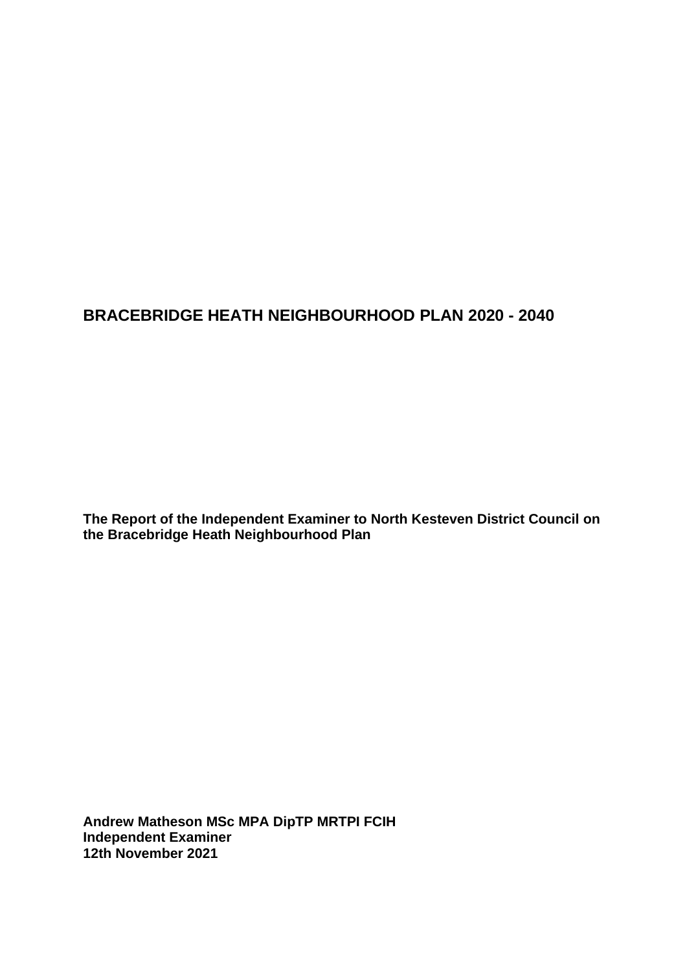# **BRACEBRIDGE HEATH NEIGHBOURHOOD PLAN 2020 - 2040**

**The Report of the Independent Examiner to North Kesteven District Council on the Bracebridge Heath Neighbourhood Plan**

**Andrew Matheson MSc MPA DipTP MRTPI FCIH Independent Examiner 12th November 2021**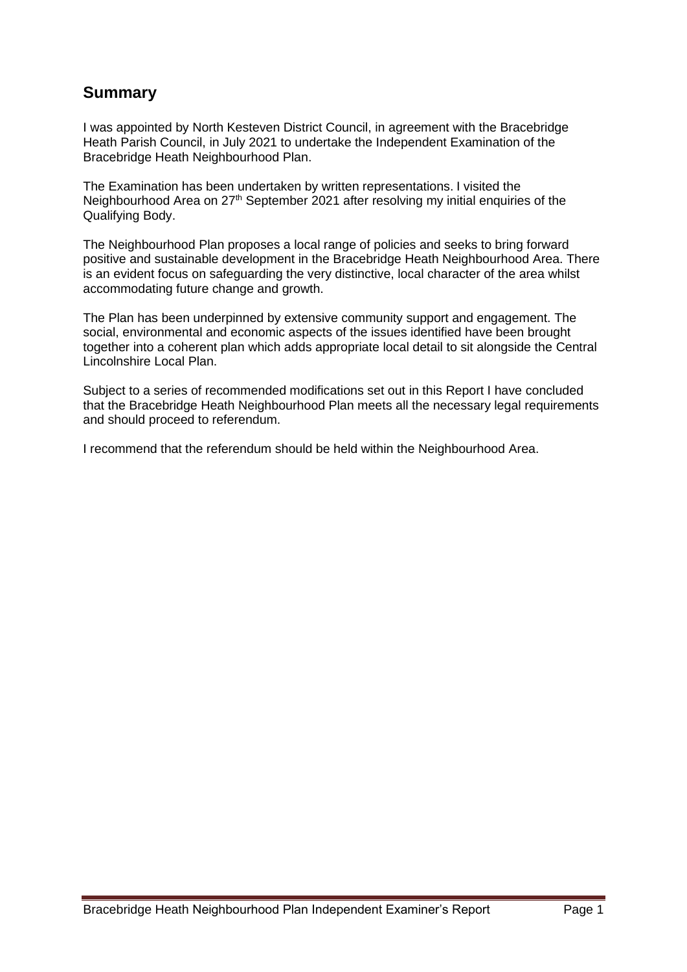# **Summary**

I was appointed by North Kesteven District Council, in agreement with the Bracebridge Heath Parish Council, in July 2021 to undertake the Independent Examination of the Bracebridge Heath Neighbourhood Plan.

The Examination has been undertaken by written representations. I visited the Neighbourhood Area on 27th September 2021 after resolving my initial enquiries of the Qualifying Body.

The Neighbourhood Plan proposes a local range of policies and seeks to bring forward positive and sustainable development in the Bracebridge Heath Neighbourhood Area. There is an evident focus on safeguarding the very distinctive, local character of the area whilst accommodating future change and growth.

The Plan has been underpinned by extensive community support and engagement. The social, environmental and economic aspects of the issues identified have been brought together into a coherent plan which adds appropriate local detail to sit alongside the Central Lincolnshire Local Plan.

Subject to a series of recommended modifications set out in this Report I have concluded that the Bracebridge Heath Neighbourhood Plan meets all the necessary legal requirements and should proceed to referendum.

I recommend that the referendum should be held within the Neighbourhood Area.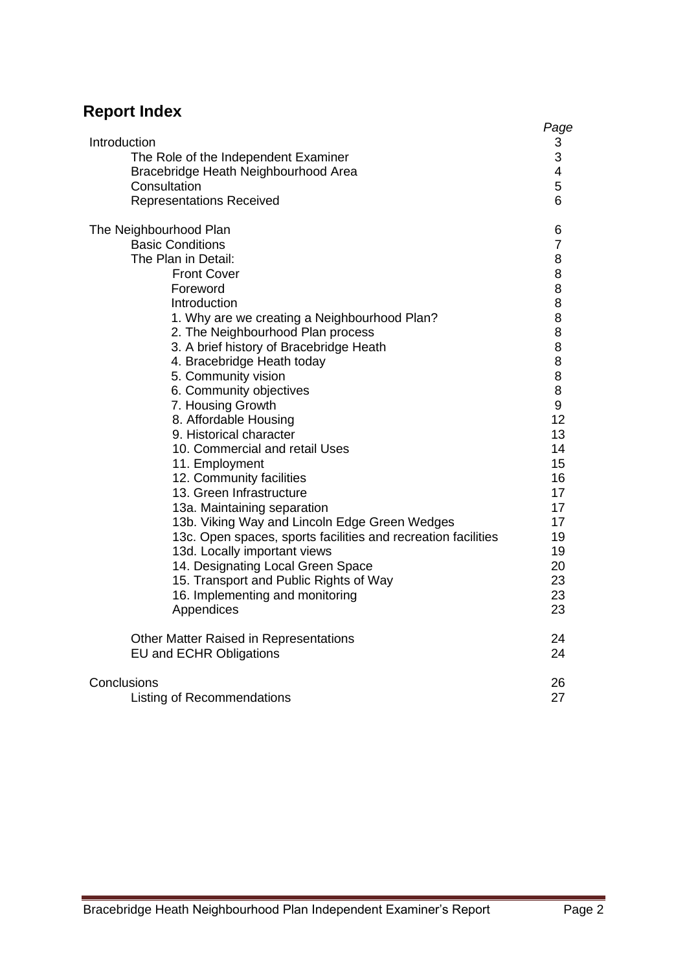# **Report Index**

|                                                               | Page           |
|---------------------------------------------------------------|----------------|
| Introduction                                                  | 3              |
| The Role of the Independent Examiner                          | 3              |
| Bracebridge Heath Neighbourhood Area                          | 4              |
| Consultation                                                  | 5              |
| <b>Representations Received</b>                               | 6              |
| The Neighbourhood Plan                                        | 6              |
| <b>Basic Conditions</b>                                       | $\overline{7}$ |
| The Plan in Detail:                                           | 8              |
| <b>Front Cover</b>                                            | 8              |
| Foreword                                                      | 8              |
| Introduction                                                  | 8              |
| 1. Why are we creating a Neighbourhood Plan?                  | 8              |
| 2. The Neighbourhood Plan process                             | 8              |
| 3. A brief history of Bracebridge Heath                       | 8              |
| 4. Bracebridge Heath today                                    | 8              |
| 5. Community vision                                           | 8              |
| 6. Community objectives                                       | 8              |
| 7. Housing Growth                                             | 9              |
| 8. Affordable Housing                                         | 12             |
| 9. Historical character                                       | 13             |
| 10. Commercial and retail Uses                                | 14             |
| 11. Employment                                                | 15             |
| 12. Community facilities                                      | 16             |
| 13. Green Infrastructure                                      | 17             |
| 13a. Maintaining separation                                   | 17             |
| 13b. Viking Way and Lincoln Edge Green Wedges                 | 17             |
| 13c. Open spaces, sports facilities and recreation facilities | 19             |
| 13d. Locally important views                                  | 19             |
| 14. Designating Local Green Space                             | 20             |
| 15. Transport and Public Rights of Way                        | 23             |
| 16. Implementing and monitoring                               | 23             |
| Appendices                                                    | 23             |
| Other Matter Raised in Representations                        | 24             |
| <b>EU and ECHR Obligations</b>                                | 24             |
| Conclusions                                                   | 26             |
| <b>Listing of Recommendations</b>                             | 27             |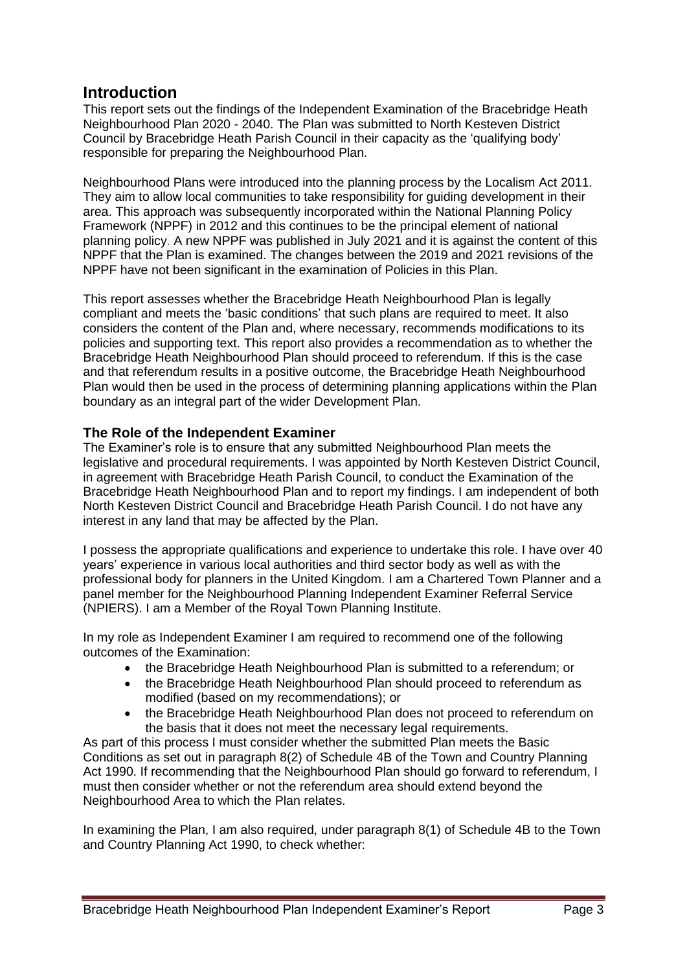# **Introduction**

This report sets out the findings of the Independent Examination of the Bracebridge Heath Neighbourhood Plan 2020 - 2040. The Plan was submitted to North Kesteven District Council by Bracebridge Heath Parish Council in their capacity as the 'qualifying body' responsible for preparing the Neighbourhood Plan.

Neighbourhood Plans were introduced into the planning process by the Localism Act 2011. They aim to allow local communities to take responsibility for guiding development in their area. This approach was subsequently incorporated within the National Planning Policy Framework (NPPF) in 2012 and this continues to be the principal element of national planning policy. A new NPPF was published in July 2021 and it is against the content of this NPPF that the Plan is examined. The changes between the 2019 and 2021 revisions of the NPPF have not been significant in the examination of Policies in this Plan.

This report assesses whether the Bracebridge Heath Neighbourhood Plan is legally compliant and meets the 'basic conditions' that such plans are required to meet. It also considers the content of the Plan and, where necessary, recommends modifications to its policies and supporting text. This report also provides a recommendation as to whether the Bracebridge Heath Neighbourhood Plan should proceed to referendum. If this is the case and that referendum results in a positive outcome, the Bracebridge Heath Neighbourhood Plan would then be used in the process of determining planning applications within the Plan boundary as an integral part of the wider Development Plan.

# **The Role of the Independent Examiner**

The Examiner's role is to ensure that any submitted Neighbourhood Plan meets the legislative and procedural requirements. I was appointed by North Kesteven District Council, in agreement with Bracebridge Heath Parish Council, to conduct the Examination of the Bracebridge Heath Neighbourhood Plan and to report my findings. I am independent of both North Kesteven District Council and Bracebridge Heath Parish Council. I do not have any interest in any land that may be affected by the Plan.

I possess the appropriate qualifications and experience to undertake this role. I have over 40 years' experience in various local authorities and third sector body as well as with the professional body for planners in the United Kingdom. I am a Chartered Town Planner and a panel member for the Neighbourhood Planning Independent Examiner Referral Service (NPIERS). I am a Member of the Royal Town Planning Institute.

In my role as Independent Examiner I am required to recommend one of the following outcomes of the Examination:

- the Bracebridge Heath Neighbourhood Plan is submitted to a referendum; or
- the Bracebridge Heath Neighbourhood Plan should proceed to referendum as modified (based on my recommendations); or
- the Bracebridge Heath Neighbourhood Plan does not proceed to referendum on the basis that it does not meet the necessary legal requirements.

As part of this process I must consider whether the submitted Plan meets the Basic Conditions as set out in paragraph 8(2) of Schedule 4B of the Town and Country Planning Act 1990. If recommending that the Neighbourhood Plan should go forward to referendum, I must then consider whether or not the referendum area should extend beyond the Neighbourhood Area to which the Plan relates.

In examining the Plan, I am also required, under paragraph 8(1) of Schedule 4B to the Town and Country Planning Act 1990, to check whether: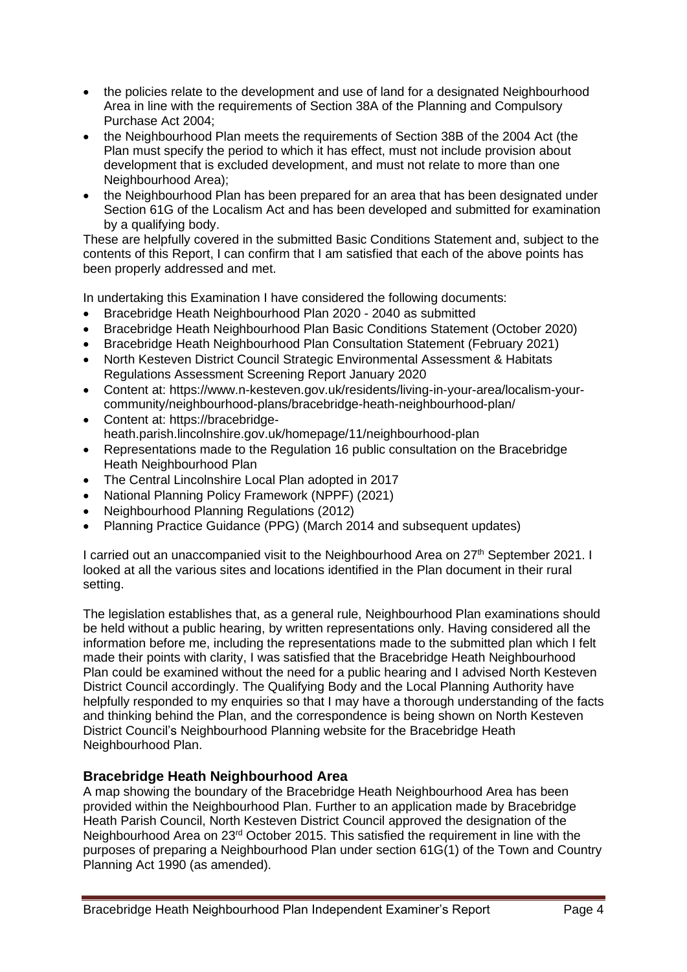- the policies relate to the development and use of land for a designated Neighbourhood Area in line with the requirements of Section 38A of the Planning and Compulsory Purchase Act 2004;
- the Neighbourhood Plan meets the requirements of Section 38B of the 2004 Act (the Plan must specify the period to which it has effect, must not include provision about development that is excluded development, and must not relate to more than one Neighbourhood Area);
- the Neighbourhood Plan has been prepared for an area that has been designated under Section 61G of the Localism Act and has been developed and submitted for examination by a qualifying body.

These are helpfully covered in the submitted Basic Conditions Statement and, subject to the contents of this Report, I can confirm that I am satisfied that each of the above points has been properly addressed and met.

In undertaking this Examination I have considered the following documents:

- Bracebridge Heath Neighbourhood Plan 2020 2040 as submitted
- Bracebridge Heath Neighbourhood Plan Basic Conditions Statement (October 2020)
- Bracebridge Heath Neighbourhood Plan Consultation Statement (February 2021)
- North Kesteven District Council Strategic Environmental Assessment & Habitats Regulations Assessment Screening Report January 2020
- Content at: https://www.n-kesteven.gov.uk/residents/living-in-your-area/localism-yourcommunity/neighbourhood-plans/bracebridge-heath-neighbourhood-plan/
- Content at: https://bracebridgeheath.parish.lincolnshire.gov.uk/homepage/11/neighbourhood-plan
- Representations made to the Regulation 16 public consultation on the Bracebridge Heath Neighbourhood Plan
- The Central Lincolnshire Local Plan adopted in 2017
- National Planning Policy Framework (NPPF) (2021)
- Neighbourhood Planning Regulations (2012)
- Planning Practice Guidance (PPG) (March 2014 and subsequent updates)

I carried out an unaccompanied visit to the Neighbourhood Area on 27<sup>th</sup> September 2021. I looked at all the various sites and locations identified in the Plan document in their rural setting.

The legislation establishes that, as a general rule, Neighbourhood Plan examinations should be held without a public hearing, by written representations only. Having considered all the information before me, including the representations made to the submitted plan which I felt made their points with clarity, I was satisfied that the Bracebridge Heath Neighbourhood Plan could be examined without the need for a public hearing and I advised North Kesteven District Council accordingly. The Qualifying Body and the Local Planning Authority have helpfully responded to my enquiries so that I may have a thorough understanding of the facts and thinking behind the Plan, and the correspondence is being shown on North Kesteven District Council's Neighbourhood Planning website for the Bracebridge Heath Neighbourhood Plan.

# **Bracebridge Heath Neighbourhood Area**

A map showing the boundary of the Bracebridge Heath Neighbourhood Area has been provided within the Neighbourhood Plan. Further to an application made by Bracebridge Heath Parish Council, North Kesteven District Council approved the designation of the Neighbourhood Area on 23rd October 2015. This satisfied the requirement in line with the purposes of preparing a Neighbourhood Plan under section 61G(1) of the Town and Country Planning Act 1990 (as amended).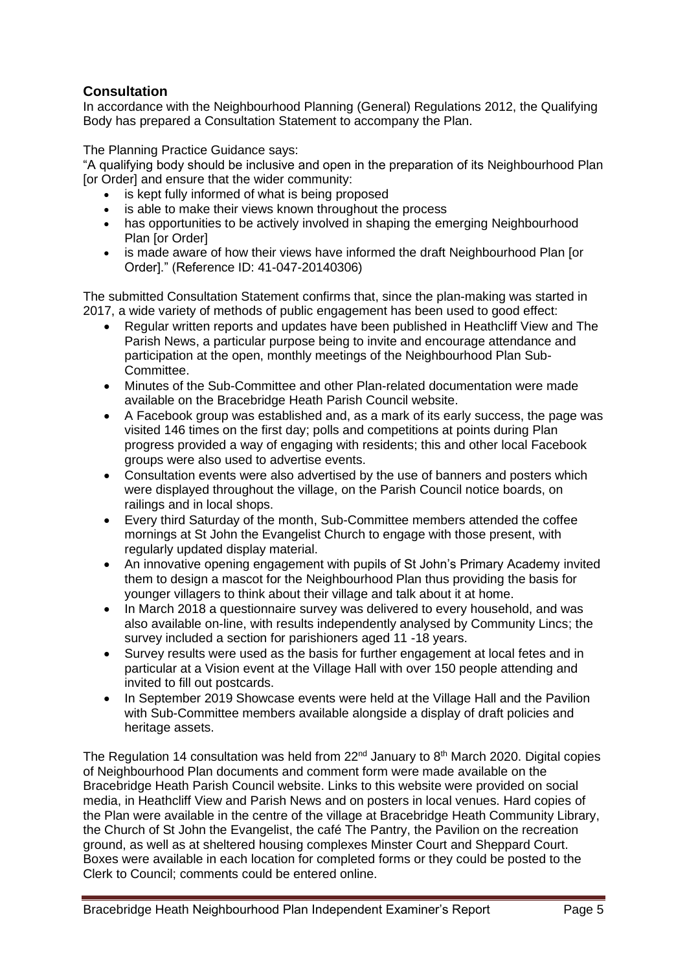# **Consultation**

In accordance with the Neighbourhood Planning (General) Regulations 2012, the Qualifying Body has prepared a Consultation Statement to accompany the Plan.

The Planning Practice Guidance says:

"A qualifying body should be inclusive and open in the preparation of its Neighbourhood Plan [or Order] and ensure that the wider community:

- is kept fully informed of what is being proposed
- is able to make their views known throughout the process
- has opportunities to be actively involved in shaping the emerging Neighbourhood Plan [or Order]
- is made aware of how their views have informed the draft Neighbourhood Plan [or Order]." (Reference ID: 41-047-20140306)

The submitted Consultation Statement confirms that, since the plan-making was started in 2017, a wide variety of methods of public engagement has been used to good effect:

- Regular written reports and updates have been published in Heathcliff View and The Parish News, a particular purpose being to invite and encourage attendance and participation at the open, monthly meetings of the Neighbourhood Plan Sub-Committee.
- Minutes of the Sub-Committee and other Plan-related documentation were made available on the Bracebridge Heath Parish Council website.
- A Facebook group was established and, as a mark of its early success, the page was visited 146 times on the first day; polls and competitions at points during Plan progress provided a way of engaging with residents; this and other local Facebook groups were also used to advertise events.
- Consultation events were also advertised by the use of banners and posters which were displayed throughout the village, on the Parish Council notice boards, on railings and in local shops.
- Every third Saturday of the month, Sub-Committee members attended the coffee mornings at St John the Evangelist Church to engage with those present, with regularly updated display material.
- An innovative opening engagement with pupils of St John's Primary Academy invited them to design a mascot for the Neighbourhood Plan thus providing the basis for younger villagers to think about their village and talk about it at home.
- In March 2018 a questionnaire survey was delivered to every household, and was also available on-line, with results independently analysed by Community Lincs; the survey included a section for parishioners aged 11 -18 years.
- Survey results were used as the basis for further engagement at local fetes and in particular at a Vision event at the Village Hall with over 150 people attending and invited to fill out postcards.
- In September 2019 Showcase events were held at the Village Hall and the Pavilion with Sub-Committee members available alongside a display of draft policies and heritage assets.

The Regulation 14 consultation was held from  $22^{nd}$  January to  $8<sup>th</sup>$  March 2020. Digital copies of Neighbourhood Plan documents and comment form were made available on the Bracebridge Heath Parish Council website. Links to this website were provided on social media, in Heathcliff View and Parish News and on posters in local venues. Hard copies of the Plan were available in the centre of the village at Bracebridge Heath Community Library, the Church of St John the Evangelist, the café The Pantry, the Pavilion on the recreation ground, as well as at sheltered housing complexes Minster Court and Sheppard Court. Boxes were available in each location for completed forms or they could be posted to the Clerk to Council; comments could be entered online.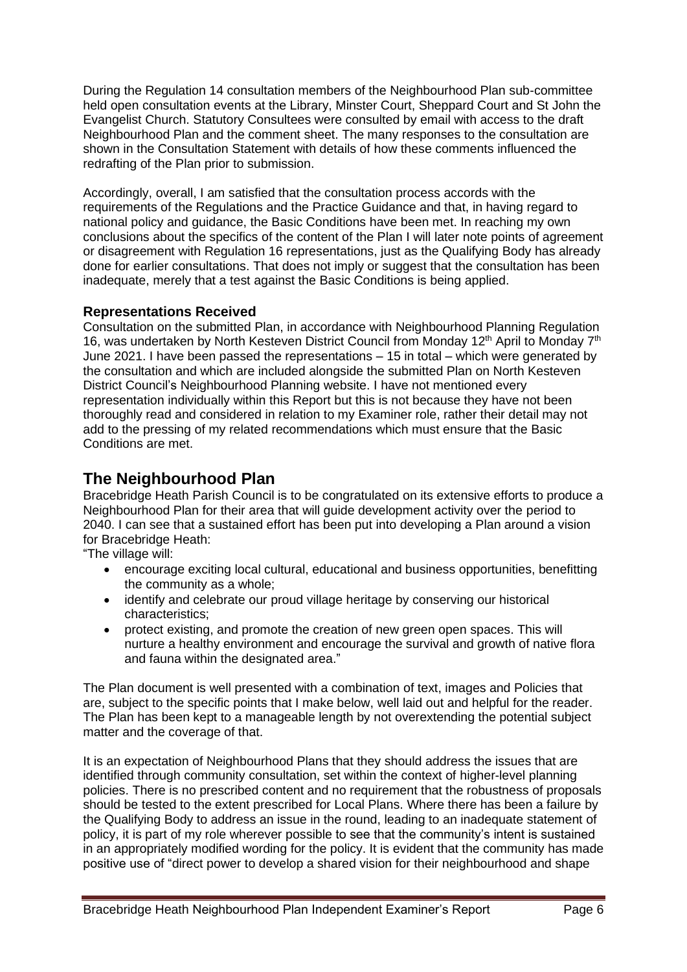During the Regulation 14 consultation members of the Neighbourhood Plan sub-committee held open consultation events at the Library, Minster Court, Sheppard Court and St John the Evangelist Church. Statutory Consultees were consulted by email with access to the draft Neighbourhood Plan and the comment sheet. The many responses to the consultation are shown in the Consultation Statement with details of how these comments influenced the redrafting of the Plan prior to submission.

Accordingly, overall, I am satisfied that the consultation process accords with the requirements of the Regulations and the Practice Guidance and that, in having regard to national policy and guidance, the Basic Conditions have been met. In reaching my own conclusions about the specifics of the content of the Plan I will later note points of agreement or disagreement with Regulation 16 representations, just as the Qualifying Body has already done for earlier consultations. That does not imply or suggest that the consultation has been inadequate, merely that a test against the Basic Conditions is being applied.

# **Representations Received**

Consultation on the submitted Plan, in accordance with Neighbourhood Planning Regulation 16, was undertaken by North Kesteven District Council from Monday 12<sup>th</sup> April to Monday 7<sup>th</sup> June 2021. I have been passed the representations – 15 in total – which were generated by the consultation and which are included alongside the submitted Plan on North Kesteven District Council's Neighbourhood Planning website. I have not mentioned every representation individually within this Report but this is not because they have not been thoroughly read and considered in relation to my Examiner role, rather their detail may not add to the pressing of my related recommendations which must ensure that the Basic Conditions are met.

# **The Neighbourhood Plan**

Bracebridge Heath Parish Council is to be congratulated on its extensive efforts to produce a Neighbourhood Plan for their area that will guide development activity over the period to 2040. I can see that a sustained effort has been put into developing a Plan around a vision for Bracebridge Heath:

"The village will:

- encourage exciting local cultural, educational and business opportunities, benefitting the community as a whole;
- identify and celebrate our proud village heritage by conserving our historical characteristics;
- protect existing, and promote the creation of new green open spaces. This will nurture a healthy environment and encourage the survival and growth of native flora and fauna within the designated area."

The Plan document is well presented with a combination of text, images and Policies that are, subject to the specific points that I make below, well laid out and helpful for the reader. The Plan has been kept to a manageable length by not overextending the potential subject matter and the coverage of that.

It is an expectation of Neighbourhood Plans that they should address the issues that are identified through community consultation, set within the context of higher-level planning policies. There is no prescribed content and no requirement that the robustness of proposals should be tested to the extent prescribed for Local Plans. Where there has been a failure by the Qualifying Body to address an issue in the round, leading to an inadequate statement of policy, it is part of my role wherever possible to see that the community's intent is sustained in an appropriately modified wording for the policy. It is evident that the community has made positive use of "direct power to develop a shared vision for their neighbourhood and shape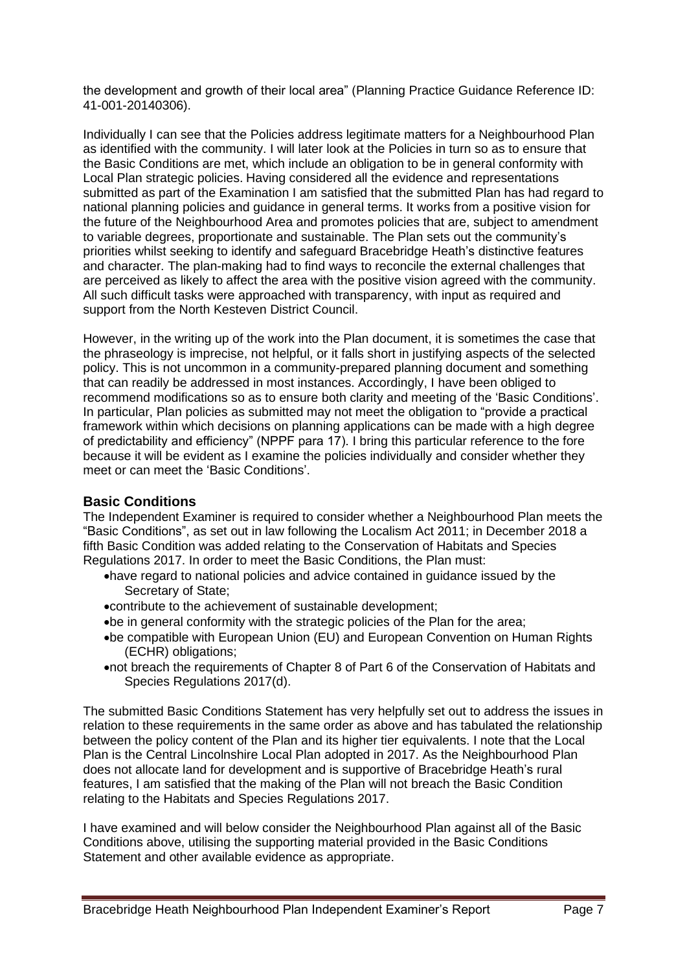the development and growth of their local area" (Planning Practice Guidance Reference ID: 41-001-20140306).

Individually I can see that the Policies address legitimate matters for a Neighbourhood Plan as identified with the community. I will later look at the Policies in turn so as to ensure that the Basic Conditions are met, which include an obligation to be in general conformity with Local Plan strategic policies. Having considered all the evidence and representations submitted as part of the Examination I am satisfied that the submitted Plan has had regard to national planning policies and guidance in general terms. It works from a positive vision for the future of the Neighbourhood Area and promotes policies that are, subject to amendment to variable degrees, proportionate and sustainable. The Plan sets out the community's priorities whilst seeking to identify and safeguard Bracebridge Heath's distinctive features and character. The plan-making had to find ways to reconcile the external challenges that are perceived as likely to affect the area with the positive vision agreed with the community. All such difficult tasks were approached with transparency, with input as required and support from the North Kesteven District Council.

However, in the writing up of the work into the Plan document, it is sometimes the case that the phraseology is imprecise, not helpful, or it falls short in justifying aspects of the selected policy. This is not uncommon in a community-prepared planning document and something that can readily be addressed in most instances. Accordingly, I have been obliged to recommend modifications so as to ensure both clarity and meeting of the 'Basic Conditions'. In particular, Plan policies as submitted may not meet the obligation to "provide a practical framework within which decisions on planning applications can be made with a high degree of predictability and efficiency" (NPPF para 17). I bring this particular reference to the fore because it will be evident as I examine the policies individually and consider whether they meet or can meet the 'Basic Conditions'.

### **Basic Conditions**

The Independent Examiner is required to consider whether a Neighbourhood Plan meets the "Basic Conditions", as set out in law following the Localism Act 2011; in December 2018 a fifth Basic Condition was added relating to the Conservation of Habitats and Species Regulations 2017. In order to meet the Basic Conditions, the Plan must:

- •have regard to national policies and advice contained in guidance issued by the Secretary of State;
- •contribute to the achievement of sustainable development;
- •be in general conformity with the strategic policies of the Plan for the area;
- •be compatible with European Union (EU) and European Convention on Human Rights (ECHR) obligations;
- •not breach the requirements of Chapter 8 of Part 6 of the Conservation of Habitats and Species Regulations 2017(d).

The submitted Basic Conditions Statement has very helpfully set out to address the issues in relation to these requirements in the same order as above and has tabulated the relationship between the policy content of the Plan and its higher tier equivalents. I note that the Local Plan is the Central Lincolnshire Local Plan adopted in 2017. As the Neighbourhood Plan does not allocate land for development and is supportive of Bracebridge Heath's rural features, I am satisfied that the making of the Plan will not breach the Basic Condition relating to the Habitats and Species Regulations 2017.

I have examined and will below consider the Neighbourhood Plan against all of the Basic Conditions above, utilising the supporting material provided in the Basic Conditions Statement and other available evidence as appropriate.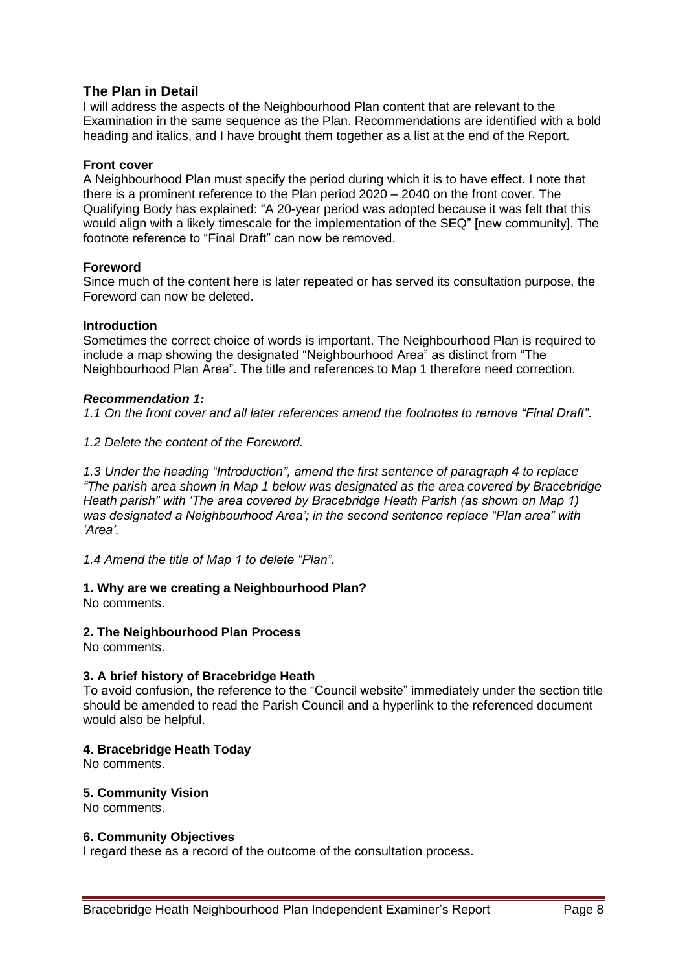# **The Plan in Detail**

I will address the aspects of the Neighbourhood Plan content that are relevant to the Examination in the same sequence as the Plan. Recommendations are identified with a bold heading and italics, and I have brought them together as a list at the end of the Report.

#### **Front cover**

A Neighbourhood Plan must specify the period during which it is to have effect. I note that there is a prominent reference to the Plan period 2020 – 2040 on the front cover. The Qualifying Body has explained: "A 20-year period was adopted because it was felt that this would align with a likely timescale for the implementation of the SEQ" [new community]. The footnote reference to "Final Draft" can now be removed.

### **Foreword**

Since much of the content here is later repeated or has served its consultation purpose, the Foreword can now be deleted.

#### **Introduction**

Sometimes the correct choice of words is important. The Neighbourhood Plan is required to include a map showing the designated "Neighbourhood Area" as distinct from "The Neighbourhood Plan Area". The title and references to Map 1 therefore need correction.

#### *Recommendation 1:*

*1.1 On the front cover and all later references amend the footnotes to remove "Final Draft".*

*1.2 Delete the content of the Foreword.*

*1.3 Under the heading "Introduction", amend the first sentence of paragraph 4 to replace "The parish area shown in Map 1 below was designated as the area covered by Bracebridge Heath parish" with 'The area covered by Bracebridge Heath Parish (as shown on Map 1) was designated a Neighbourhood Area'; in the second sentence replace "Plan area" with 'Area'.* 

*1.4 Amend the title of Map 1 to delete "Plan".*

# **1. Why are we creating a Neighbourhood Plan?**

No comments.

### **2. The Neighbourhood Plan Process**

No comments.

### **3. A brief history of Bracebridge Heath**

To avoid confusion, the reference to the "Council website" immediately under the section title should be amended to read the Parish Council and a hyperlink to the referenced document would also be helpful.

#### **4. Bracebridge Heath Today**

No comments.

### **5. Community Vision**

No comments.

#### **6. Community Objectives**

I regard these as a record of the outcome of the consultation process.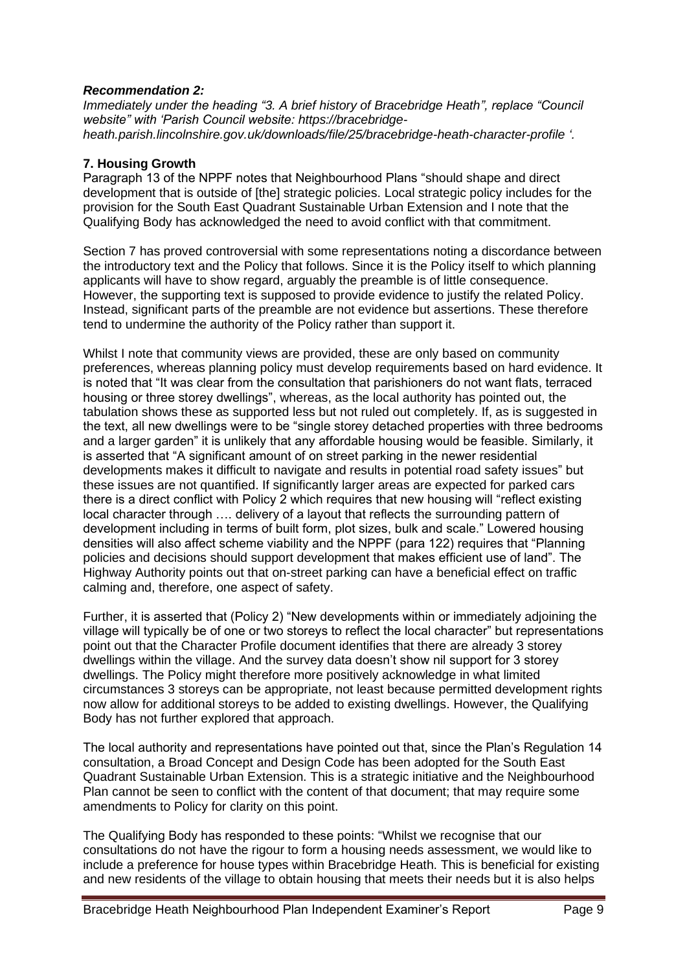#### *Recommendation 2:*

*Immediately under the heading "3. A brief history of Bracebridge Heath", replace "Council website" with 'Parish Council website: https://bracebridgeheath.parish.lincolnshire.gov.uk/downloads/file/25/bracebridge-heath-character-profile '.*

#### **7. Housing Growth**

Paragraph 13 of the NPPF notes that Neighbourhood Plans "should shape and direct development that is outside of [the] strategic policies. Local strategic policy includes for the provision for the South East Quadrant Sustainable Urban Extension and I note that the Qualifying Body has acknowledged the need to avoid conflict with that commitment.

Section 7 has proved controversial with some representations noting a discordance between the introductory text and the Policy that follows. Since it is the Policy itself to which planning applicants will have to show regard, arguably the preamble is of little consequence. However, the supporting text is supposed to provide evidence to justify the related Policy. Instead, significant parts of the preamble are not evidence but assertions. These therefore tend to undermine the authority of the Policy rather than support it.

Whilst I note that community views are provided, these are only based on community preferences, whereas planning policy must develop requirements based on hard evidence. It is noted that "It was clear from the consultation that parishioners do not want flats, terraced housing or three storey dwellings", whereas, as the local authority has pointed out, the tabulation shows these as supported less but not ruled out completely. If, as is suggested in the text, all new dwellings were to be "single storey detached properties with three bedrooms and a larger garden" it is unlikely that any affordable housing would be feasible. Similarly, it is asserted that "A significant amount of on street parking in the newer residential developments makes it difficult to navigate and results in potential road safety issues" but these issues are not quantified. If significantly larger areas are expected for parked cars there is a direct conflict with Policy 2 which requires that new housing will "reflect existing local character through …. delivery of a layout that reflects the surrounding pattern of development including in terms of built form, plot sizes, bulk and scale." Lowered housing densities will also affect scheme viability and the NPPF (para 122) requires that "Planning policies and decisions should support development that makes efficient use of land". The Highway Authority points out that on-street parking can have a beneficial effect on traffic calming and, therefore, one aspect of safety.

Further, it is asserted that (Policy 2) "New developments within or immediately adjoining the village will typically be of one or two storeys to reflect the local character" but representations point out that the Character Profile document identifies that there are already 3 storey dwellings within the village. And the survey data doesn't show nil support for 3 storey dwellings. The Policy might therefore more positively acknowledge in what limited circumstances 3 storeys can be appropriate, not least because permitted development rights now allow for additional storeys to be added to existing dwellings. However, the Qualifying Body has not further explored that approach.

The local authority and representations have pointed out that, since the Plan's Regulation 14 consultation, a Broad Concept and Design Code has been adopted for the South East Quadrant Sustainable Urban Extension. This is a strategic initiative and the Neighbourhood Plan cannot be seen to conflict with the content of that document; that may require some amendments to Policy for clarity on this point.

The Qualifying Body has responded to these points: "Whilst we recognise that our consultations do not have the rigour to form a housing needs assessment, we would like to include a preference for house types within Bracebridge Heath. This is beneficial for existing and new residents of the village to obtain housing that meets their needs but it is also helps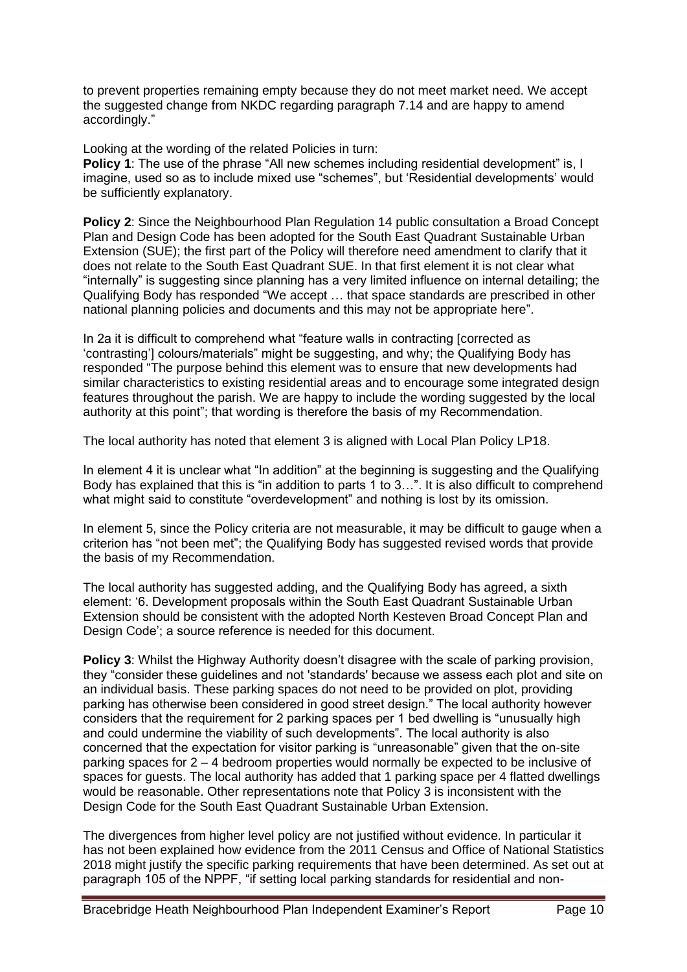to prevent properties remaining empty because they do not meet market need. We accept the suggested change from NKDC regarding paragraph 7.14 and are happy to amend accordingly."

Looking at the wording of the related Policies in turn:

**Policy 1:** The use of the phrase "All new schemes including residential development" is, I imagine, used so as to include mixed use "schemes", but 'Residential developments' would be sufficiently explanatory.

**Policy 2**: Since the Neighbourhood Plan Regulation 14 public consultation a Broad Concept Plan and Design Code has been adopted for the South East Quadrant Sustainable Urban Extension (SUE); the first part of the Policy will therefore need amendment to clarify that it does not relate to the South East Quadrant SUE. In that first element it is not clear what "internally" is suggesting since planning has a very limited influence on internal detailing; the Qualifying Body has responded "We accept … that space standards are prescribed in other national planning policies and documents and this may not be appropriate here".

In 2a it is difficult to comprehend what "feature walls in contracting [corrected as 'contrasting'] colours/materials" might be suggesting, and why; the Qualifying Body has responded "The purpose behind this element was to ensure that new developments had similar characteristics to existing residential areas and to encourage some integrated design features throughout the parish. We are happy to include the wording suggested by the local authority at this point"; that wording is therefore the basis of my Recommendation.

The local authority has noted that element 3 is aligned with Local Plan Policy LP18.

In element 4 it is unclear what "In addition" at the beginning is suggesting and the Qualifying Body has explained that this is "in addition to parts 1 to 3…". It is also difficult to comprehend what might said to constitute "overdevelopment" and nothing is lost by its omission.

In element 5, since the Policy criteria are not measurable, it may be difficult to gauge when a criterion has "not been met"; the Qualifying Body has suggested revised words that provide the basis of my Recommendation.

The local authority has suggested adding, and the Qualifying Body has agreed, a sixth element: '6. Development proposals within the South East Quadrant Sustainable Urban Extension should be consistent with the adopted North Kesteven Broad Concept Plan and Design Code'; a source reference is needed for this document.

**Policy 3:** Whilst the Highway Authority doesn't disagree with the scale of parking provision, they "consider these guidelines and not 'standards' because we assess each plot and site on an individual basis. These parking spaces do not need to be provided on plot, providing parking has otherwise been considered in good street design." The local authority however considers that the requirement for 2 parking spaces per 1 bed dwelling is "unusually high and could undermine the viability of such developments". The local authority is also concerned that the expectation for visitor parking is "unreasonable" given that the on-site parking spaces for 2 – 4 bedroom properties would normally be expected to be inclusive of spaces for guests. The local authority has added that 1 parking space per 4 flatted dwellings would be reasonable. Other representations note that Policy 3 is inconsistent with the Design Code for the South East Quadrant Sustainable Urban Extension.

The divergences from higher level policy are not justified without evidence. In particular it has not been explained how evidence from the 2011 Census and Office of National Statistics 2018 might justify the specific parking requirements that have been determined. As set out at paragraph 105 of the NPPF, "if setting local parking standards for residential and non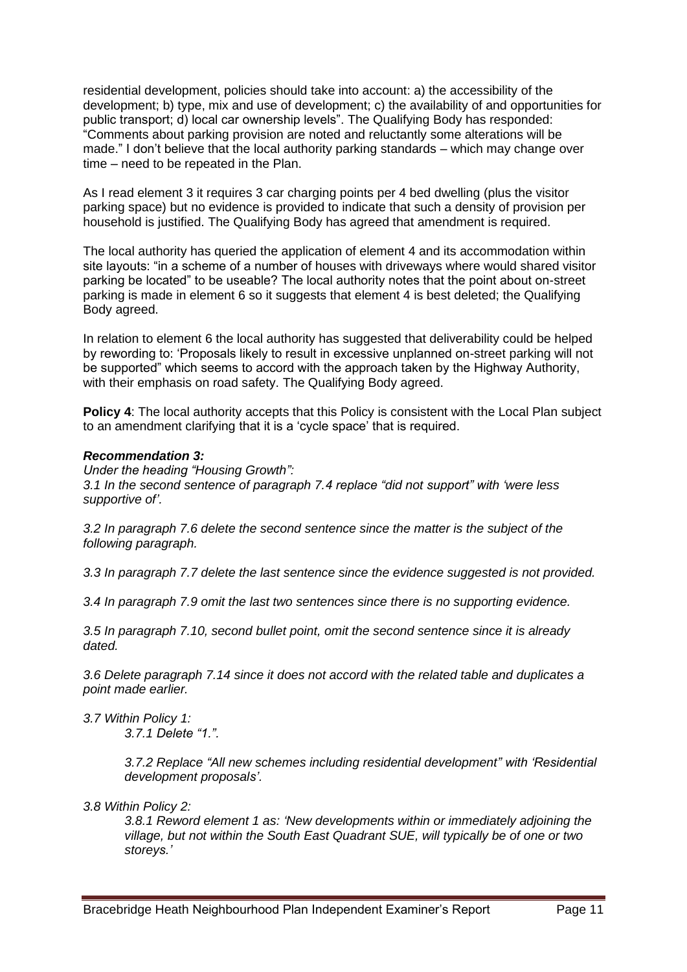residential development, policies should take into account: a) the accessibility of the development; b) type, mix and use of development; c) the availability of and opportunities for public transport; d) local car ownership levels". The Qualifying Body has responded: "Comments about parking provision are noted and reluctantly some alterations will be made." I don't believe that the local authority parking standards – which may change over time – need to be repeated in the Plan.

As I read element 3 it requires 3 car charging points per 4 bed dwelling (plus the visitor parking space) but no evidence is provided to indicate that such a density of provision per household is justified. The Qualifying Body has agreed that amendment is required.

The local authority has queried the application of element 4 and its accommodation within site layouts: "in a scheme of a number of houses with driveways where would shared visitor parking be located" to be useable? The local authority notes that the point about on-street parking is made in element 6 so it suggests that element 4 is best deleted; the Qualifying Body agreed.

In relation to element 6 the local authority has suggested that deliverability could be helped by rewording to: 'Proposals likely to result in excessive unplanned on-street parking will not be supported" which seems to accord with the approach taken by the Highway Authority, with their emphasis on road safety. The Qualifying Body agreed.

**Policy 4**: The local authority accepts that this Policy is consistent with the Local Plan subject to an amendment clarifying that it is a 'cycle space' that is required.

### *Recommendation 3:*

*Under the heading "Housing Growth": 3.1 In the second sentence of paragraph 7.4 replace "did not support" with 'were less supportive of'.*

*3.2 In paragraph 7.6 delete the second sentence since the matter is the subject of the following paragraph.*

*3.3 In paragraph 7.7 delete the last sentence since the evidence suggested is not provided.*

*3.4 In paragraph 7.9 omit the last two sentences since there is no supporting evidence.*

*3.5 In paragraph 7.10, second bullet point, omit the second sentence since it is already dated.*

*3.6 Delete paragraph 7.14 since it does not accord with the related table and duplicates a point made earlier.*

*3.7 Within Policy 1: 3.7.1 Delete "1.".*

> *3.7.2 Replace "All new schemes including residential development" with 'Residential development proposals'.*

*3.8 Within Policy 2:*

*3.8.1 Reword element 1 as: 'New developments within or immediately adjoining the village, but not within the South East Quadrant SUE, will typically be of one or two storeys.'*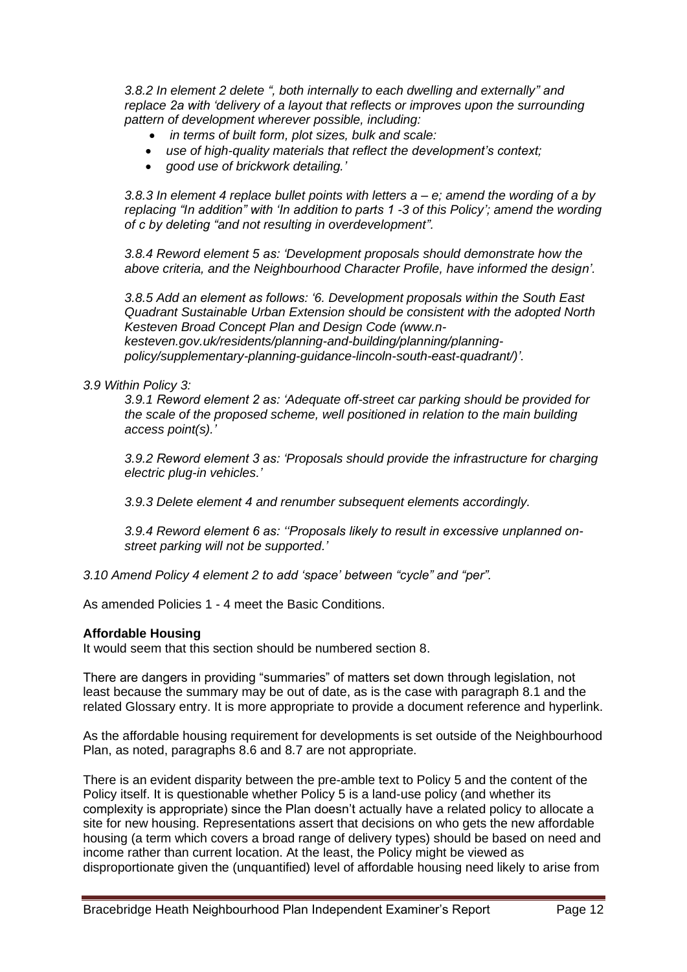*3.8.2 In element 2 delete ", both internally to each dwelling and externally" and replace 2a with 'delivery of a layout that reflects or improves upon the surrounding pattern of development wherever possible, including:*

- *in terms of built form, plot sizes, bulk and scale:*
- *use of high-quality materials that reflect the development's context;*
- *good use of brickwork detailing.'*

*3.8.3 In element 4 replace bullet points with letters a – e; amend the wording of a by replacing "In addition" with 'In addition to parts 1 -3 of this Policy'; amend the wording of c by deleting "and not resulting in overdevelopment".*

*3.8.4 Reword element 5 as: 'Development proposals should demonstrate how the above criteria, and the Neighbourhood Character Profile, have informed the design'.*

*3.8.5 Add an element as follows: '6. Development proposals within the South East Quadrant Sustainable Urban Extension should be consistent with the adopted North Kesteven Broad Concept Plan and Design Code (www.nkesteven.gov.uk/residents/planning-and-building/planning/planningpolicy/supplementary-planning-guidance-lincoln-south-east-quadrant/)'.*

### *3.9 Within Policy 3:*

*3.9.1 Reword element 2 as: 'Adequate off-street car parking should be provided for the scale of the proposed scheme, well positioned in relation to the main building access point(s).'*

*3.9.2 Reword element 3 as: 'Proposals should provide the infrastructure for charging electric plug-in vehicles.'*

*3.9.3 Delete element 4 and renumber subsequent elements accordingly.*

*3.9.4 Reword element 6 as: ''Proposals likely to result in excessive unplanned onstreet parking will not be supported.'*

*3.10 Amend Policy 4 element 2 to add 'space' between "cycle" and "per".*

As amended Policies 1 - 4 meet the Basic Conditions.

### **Affordable Housing**

It would seem that this section should be numbered section 8.

There are dangers in providing "summaries" of matters set down through legislation, not least because the summary may be out of date, as is the case with paragraph 8.1 and the related Glossary entry. It is more appropriate to provide a document reference and hyperlink.

As the affordable housing requirement for developments is set outside of the Neighbourhood Plan, as noted, paragraphs 8.6 and 8.7 are not appropriate.

There is an evident disparity between the pre-amble text to Policy 5 and the content of the Policy itself. It is questionable whether Policy 5 is a land-use policy (and whether its complexity is appropriate) since the Plan doesn't actually have a related policy to allocate a site for new housing. Representations assert that decisions on who gets the new affordable housing (a term which covers a broad range of delivery types) should be based on need and income rather than current location. At the least, the Policy might be viewed as disproportionate given the (unquantified) level of affordable housing need likely to arise from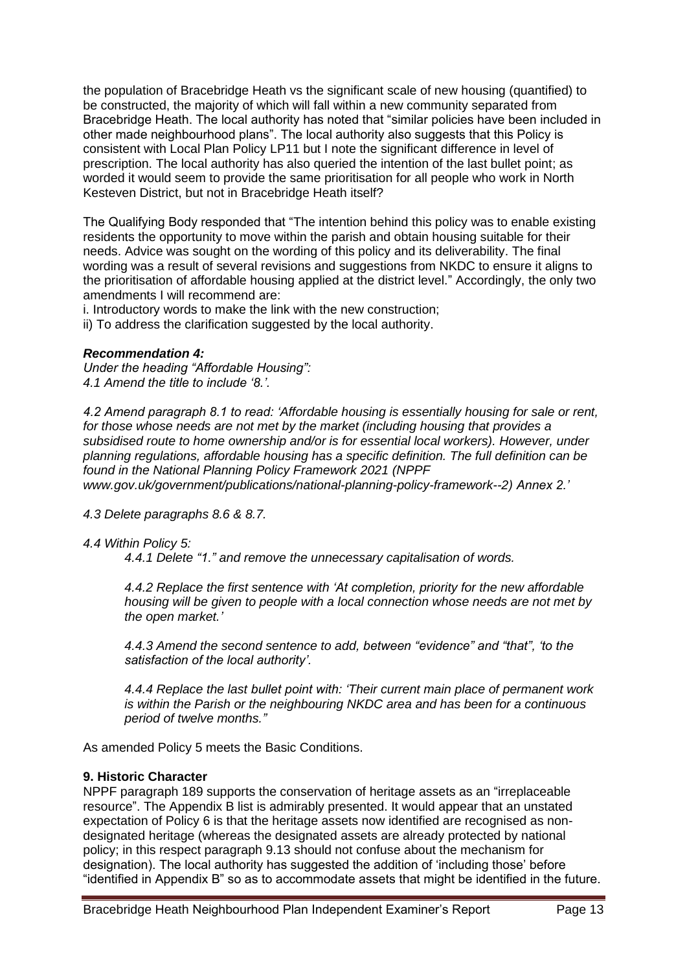the population of Bracebridge Heath vs the significant scale of new housing (quantified) to be constructed, the majority of which will fall within a new community separated from Bracebridge Heath. The local authority has noted that "similar policies have been included in other made neighbourhood plans". The local authority also suggests that this Policy is consistent with Local Plan Policy LP11 but I note the significant difference in level of prescription. The local authority has also queried the intention of the last bullet point; as worded it would seem to provide the same prioritisation for all people who work in North Kesteven District, but not in Bracebridge Heath itself?

The Qualifying Body responded that "The intention behind this policy was to enable existing residents the opportunity to move within the parish and obtain housing suitable for their needs. Advice was sought on the wording of this policy and its deliverability. The final wording was a result of several revisions and suggestions from NKDC to ensure it aligns to the prioritisation of affordable housing applied at the district level." Accordingly, the only two amendments I will recommend are:

i. Introductory words to make the link with the new construction;

ii) To address the clarification suggested by the local authority.

#### *Recommendation 4:*

*Under the heading "Affordable Housing": 4.1 Amend the title to include '8.'.*

*4.2 Amend paragraph 8.1 to read: 'Affordable housing is essentially housing for sale or rent, for those whose needs are not met by the market (including housing that provides a subsidised route to home ownership and/or is for essential local workers). However, under planning regulations, affordable housing has a specific definition. The full definition can be found in the National Planning Policy Framework 2021 (NPPF www.gov.uk/government/publications/national-planning-policy-framework--2) Annex 2.'*

*4.3 Delete paragraphs 8.6 & 8.7.*

#### *4.4 Within Policy 5:*

*4.4.1 Delete "1." and remove the unnecessary capitalisation of words.*

*4.4.2 Replace the first sentence with 'At completion, priority for the new affordable housing will be given to people with a local connection whose needs are not met by the open market.'*

*4.4.3 Amend the second sentence to add, between "evidence" and "that", 'to the satisfaction of the local authority'.*

*4.4.4 Replace the last bullet point with: 'Their current main place of permanent work is within the Parish or the neighbouring NKDC area and has been for a continuous period of twelve months."*

As amended Policy 5 meets the Basic Conditions.

### **9. Historic Character**

NPPF paragraph 189 supports the conservation of heritage assets as an "irreplaceable resource". The Appendix B list is admirably presented. It would appear that an unstated expectation of Policy 6 is that the heritage assets now identified are recognised as nondesignated heritage (whereas the designated assets are already protected by national policy; in this respect paragraph 9.13 should not confuse about the mechanism for designation). The local authority has suggested the addition of 'including those' before "identified in Appendix B" so as to accommodate assets that might be identified in the future.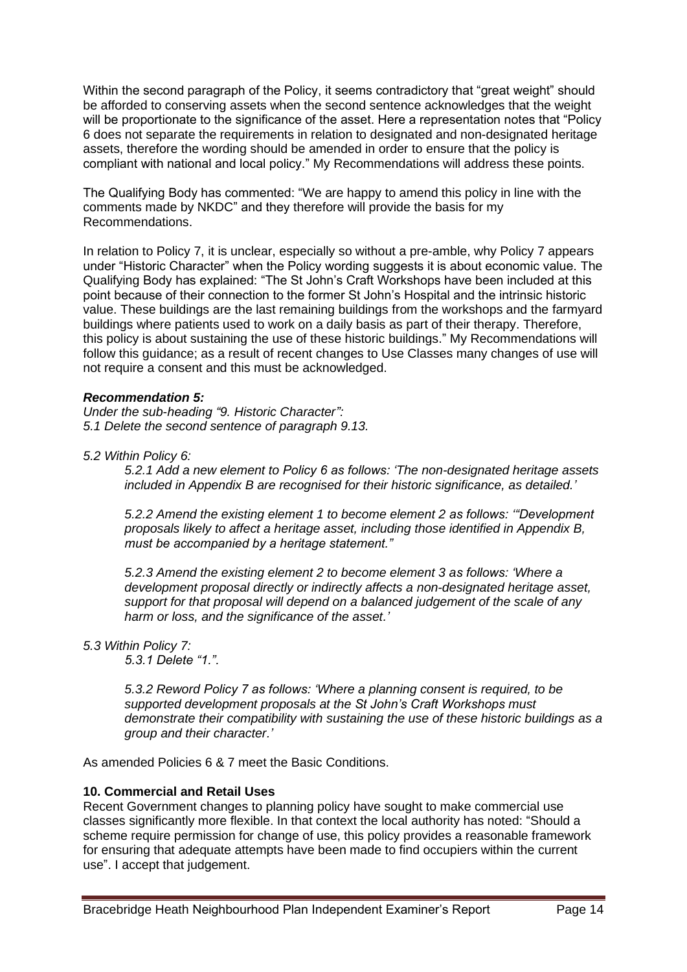Within the second paragraph of the Policy, it seems contradictory that "great weight" should be afforded to conserving assets when the second sentence acknowledges that the weight will be proportionate to the significance of the asset. Here a representation notes that "Policy 6 does not separate the requirements in relation to designated and non-designated heritage assets, therefore the wording should be amended in order to ensure that the policy is compliant with national and local policy." My Recommendations will address these points.

The Qualifying Body has commented: "We are happy to amend this policy in line with the comments made by NKDC" and they therefore will provide the basis for my Recommendations.

In relation to Policy 7, it is unclear, especially so without a pre-amble, why Policy 7 appears under "Historic Character" when the Policy wording suggests it is about economic value. The Qualifying Body has explained: "The St John's Craft Workshops have been included at this point because of their connection to the former St John's Hospital and the intrinsic historic value. These buildings are the last remaining buildings from the workshops and the farmyard buildings where patients used to work on a daily basis as part of their therapy. Therefore, this policy is about sustaining the use of these historic buildings." My Recommendations will follow this guidance; as a result of recent changes to Use Classes many changes of use will not require a consent and this must be acknowledged.

#### *Recommendation 5:*

*Under the sub-heading "9. Historic Character": 5.1 Delete the second sentence of paragraph 9.13.*

*5.2 Within Policy 6:*

*5.2.1 Add a new element to Policy 6 as follows: 'The non-designated heritage assets included in Appendix B are recognised for their historic significance, as detailed.'*

*5.2.2 Amend the existing element 1 to become element 2 as follows: '"Development proposals likely to affect a heritage asset, including those identified in Appendix B, must be accompanied by a heritage statement."*

*5.2.3 Amend the existing element 2 to become element 3 as follows: 'Where a development proposal directly or indirectly affects a non-designated heritage asset, support for that proposal will depend on a balanced judgement of the scale of any harm or loss, and the significance of the asset.'*

### *5.3 Within Policy 7:*

*5.3.1 Delete "1.".*

*5.3.2 Reword Policy 7 as follows: 'Where a planning consent is required, to be supported development proposals at the St John's Craft Workshops must demonstrate their compatibility with sustaining the use of these historic buildings as a group and their character.'*

As amended Policies 6 & 7 meet the Basic Conditions.

# **10. Commercial and Retail Uses**

Recent Government changes to planning policy have sought to make commercial use classes significantly more flexible. In that context the local authority has noted: "Should a scheme require permission for change of use, this policy provides a reasonable framework for ensuring that adequate attempts have been made to find occupiers within the current use". I accept that judgement.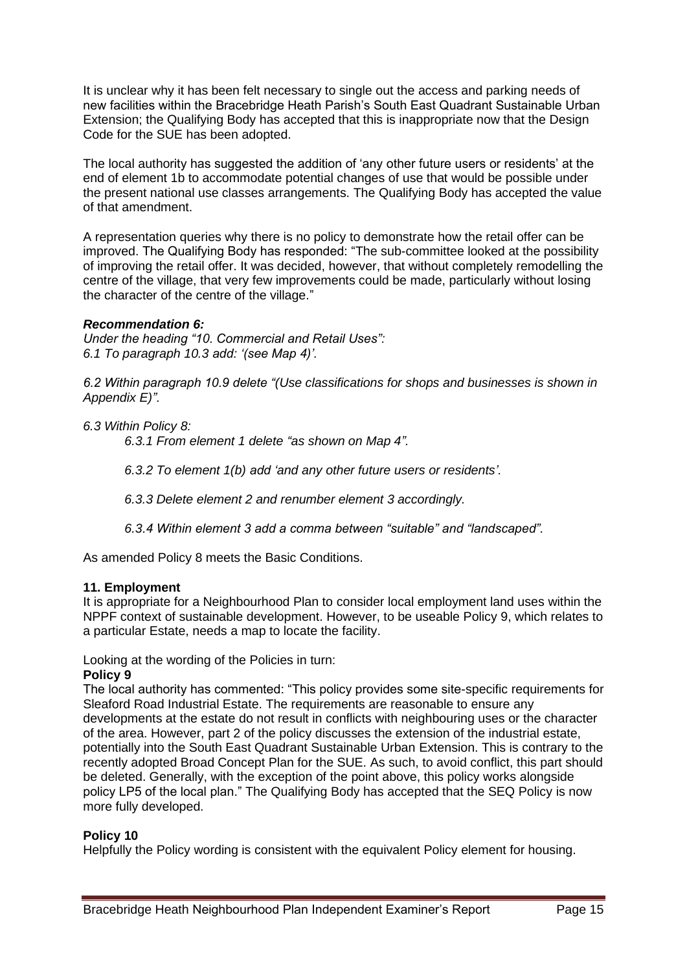It is unclear why it has been felt necessary to single out the access and parking needs of new facilities within the Bracebridge Heath Parish's South East Quadrant Sustainable Urban Extension; the Qualifying Body has accepted that this is inappropriate now that the Design Code for the SUE has been adopted.

The local authority has suggested the addition of 'any other future users or residents' at the end of element 1b to accommodate potential changes of use that would be possible under the present national use classes arrangements. The Qualifying Body has accepted the value of that amendment.

A representation queries why there is no policy to demonstrate how the retail offer can be improved. The Qualifying Body has responded: "The sub-committee looked at the possibility of improving the retail offer. It was decided, however, that without completely remodelling the centre of the village, that very few improvements could be made, particularly without losing the character of the centre of the village."

#### *Recommendation 6:*

*Under the heading "10. Commercial and Retail Uses": 6.1 To paragraph 10.3 add: '(see Map 4)'.*

*6.2 Within paragraph 10.9 delete "(Use classifications for shops and businesses is shown in Appendix E)".*

*6.3 Within Policy 8:*

*6.3.1 From element 1 delete "as shown on Map 4".*

*6.3.2 To element 1(b) add 'and any other future users or residents'.*

*6.3.3 Delete element 2 and renumber element 3 accordingly.*

*6.3.4 Within element 3 add a comma between "suitable" and "landscaped".*

As amended Policy 8 meets the Basic Conditions.

#### **11. Employment**

It is appropriate for a Neighbourhood Plan to consider local employment land uses within the NPPF context of sustainable development. However, to be useable Policy 9, which relates to a particular Estate, needs a map to locate the facility.

Looking at the wording of the Policies in turn:

#### **Policy 9**

The local authority has commented: "This policy provides some site-specific requirements for Sleaford Road Industrial Estate. The requirements are reasonable to ensure any developments at the estate do not result in conflicts with neighbouring uses or the character of the area. However, part 2 of the policy discusses the extension of the industrial estate, potentially into the South East Quadrant Sustainable Urban Extension. This is contrary to the recently adopted Broad Concept Plan for the SUE. As such, to avoid conflict, this part should be deleted. Generally, with the exception of the point above, this policy works alongside policy LP5 of the local plan." The Qualifying Body has accepted that the SEQ Policy is now more fully developed.

#### **Policy 10**

Helpfully the Policy wording is consistent with the equivalent Policy element for housing.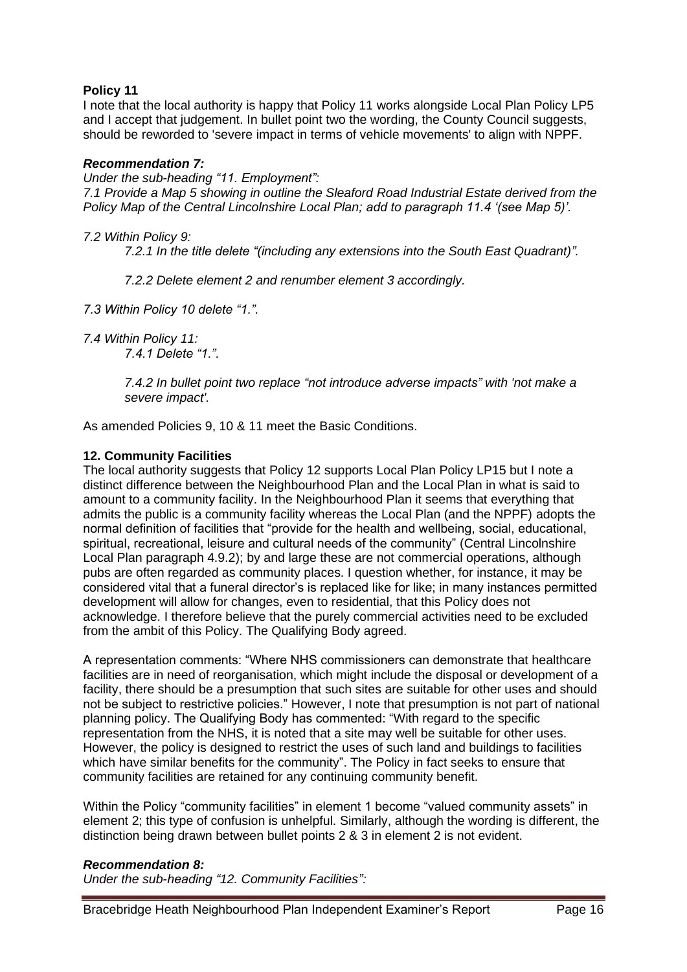# **Policy 11**

I note that the local authority is happy that Policy 11 works alongside Local Plan Policy LP5 and I accept that judgement. In bullet point two the wording, the County Council suggests, should be reworded to 'severe impact in terms of vehicle movements' to align with NPPF.

### *Recommendation 7:*

*Under the sub-heading "11. Employment": 7.1 Provide a Map 5 showing in outline the Sleaford Road Industrial Estate derived from the Policy Map of the Central Lincolnshire Local Plan; add to paragraph 11.4 '(see Map 5)'.* 

*7.2 Within Policy 9:*

*7.2.1 In the title delete "(including any extensions into the South East Quadrant)".*

*7.2.2 Delete element 2 and renumber element 3 accordingly.*

*7.3 Within Policy 10 delete "1.".*

*7.4.1 Delete "1.".*

*7.4.2 In bullet point two replace "not introduce adverse impacts" with 'not make a severe impact'.*

As amended Policies 9, 10 & 11 meet the Basic Conditions.

# **12. Community Facilities**

The local authority suggests that Policy 12 supports Local Plan Policy LP15 but I note a distinct difference between the Neighbourhood Plan and the Local Plan in what is said to amount to a community facility. In the Neighbourhood Plan it seems that everything that admits the public is a community facility whereas the Local Plan (and the NPPF) adopts the normal definition of facilities that "provide for the health and wellbeing, social, educational, spiritual, recreational, leisure and cultural needs of the community" (Central Lincolnshire Local Plan paragraph 4.9.2); by and large these are not commercial operations, although pubs are often regarded as community places. I question whether, for instance, it may be considered vital that a funeral director's is replaced like for like; in many instances permitted development will allow for changes, even to residential, that this Policy does not acknowledge. I therefore believe that the purely commercial activities need to be excluded from the ambit of this Policy. The Qualifying Body agreed.

A representation comments: "Where NHS commissioners can demonstrate that healthcare facilities are in need of reorganisation, which might include the disposal or development of a facility, there should be a presumption that such sites are suitable for other uses and should not be subject to restrictive policies." However, I note that presumption is not part of national planning policy. The Qualifying Body has commented: "With regard to the specific representation from the NHS, it is noted that a site may well be suitable for other uses. However, the policy is designed to restrict the uses of such land and buildings to facilities which have similar benefits for the community". The Policy in fact seeks to ensure that community facilities are retained for any continuing community benefit.

Within the Policy "community facilities" in element 1 become "valued community assets" in element 2; this type of confusion is unhelpful. Similarly, although the wording is different, the distinction being drawn between bullet points 2 & 3 in element 2 is not evident.

# *Recommendation 8:*

*Under the sub-heading "12. Community Facilities":* 

*<sup>7.4</sup> Within Policy 11:*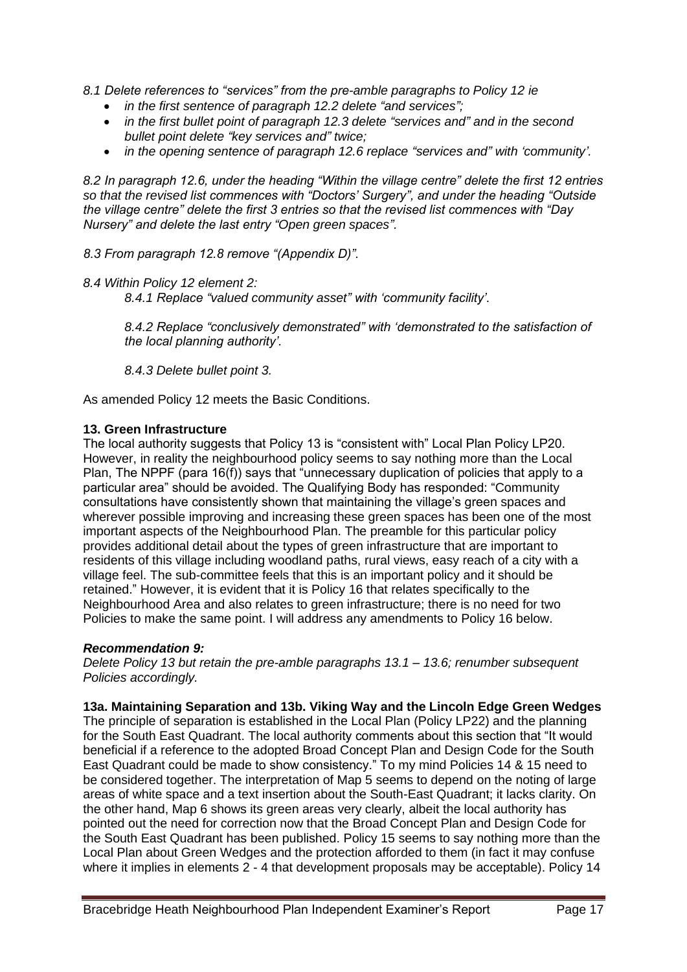*8.1 Delete references to "services" from the pre-amble paragraphs to Policy 12 ie*

- *in the first sentence of paragraph 12.2 delete "and services";*
- *in the first bullet point of paragraph 12.3 delete "services and" and in the second bullet point delete "key services and" twice;*
- *in the opening sentence of paragraph 12.6 replace "services and" with 'community'.*

*8.2 In paragraph 12.6, under the heading "Within the village centre" delete the first 12 entries so that the revised list commences with "Doctors' Surgery", and under the heading "Outside the village centre" delete the first 3 entries so that the revised list commences with "Day Nursery" and delete the last entry "Open green spaces".*

*8.3 From paragraph 12.8 remove "(Appendix D)".*

*8.4 Within Policy 12 element 2:*

*8.4.1 Replace "valued community asset" with 'community facility'.*

*8.4.2 Replace "conclusively demonstrated" with 'demonstrated to the satisfaction of the local planning authority'.*

*8.4.3 Delete bullet point 3.*

As amended Policy 12 meets the Basic Conditions.

# **13. Green Infrastructure**

The local authority suggests that Policy 13 is "consistent with" Local Plan Policy LP20. However, in reality the neighbourhood policy seems to say nothing more than the Local Plan, The NPPF (para 16(f)) says that "unnecessary duplication of policies that apply to a particular area" should be avoided. The Qualifying Body has responded: "Community consultations have consistently shown that maintaining the village's green spaces and wherever possible improving and increasing these green spaces has been one of the most important aspects of the Neighbourhood Plan. The preamble for this particular policy provides additional detail about the types of green infrastructure that are important to residents of this village including woodland paths, rural views, easy reach of a city with a village feel. The sub-committee feels that this is an important policy and it should be retained." However, it is evident that it is Policy 16 that relates specifically to the Neighbourhood Area and also relates to green infrastructure; there is no need for two Policies to make the same point. I will address any amendments to Policy 16 below.

### *Recommendation 9:*

*Delete Policy 13 but retain the pre-amble paragraphs 13.1 – 13.6; renumber subsequent Policies accordingly.*

**13a. Maintaining Separation and 13b. Viking Way and the Lincoln Edge Green Wedges**

The principle of separation is established in the Local Plan (Policy LP22) and the planning for the South East Quadrant. The local authority comments about this section that "It would beneficial if a reference to the adopted Broad Concept Plan and Design Code for the South East Quadrant could be made to show consistency." To my mind Policies 14 & 15 need to be considered together. The interpretation of Map 5 seems to depend on the noting of large areas of white space and a text insertion about the South-East Quadrant; it lacks clarity. On the other hand, Map 6 shows its green areas very clearly, albeit the local authority has pointed out the need for correction now that the Broad Concept Plan and Design Code for the South East Quadrant has been published. Policy 15 seems to say nothing more than the Local Plan about Green Wedges and the protection afforded to them (in fact it may confuse where it implies in elements 2 - 4 that development proposals may be acceptable). Policy 14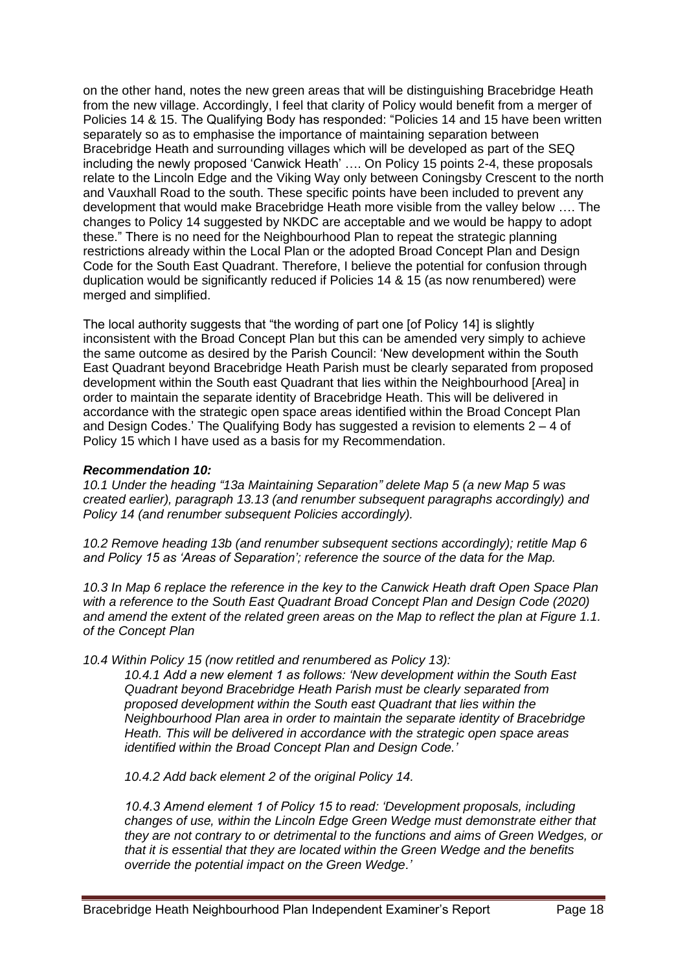on the other hand, notes the new green areas that will be distinguishing Bracebridge Heath from the new village. Accordingly, I feel that clarity of Policy would benefit from a merger of Policies 14 & 15. The Qualifying Body has responded: "Policies 14 and 15 have been written separately so as to emphasise the importance of maintaining separation between Bracebridge Heath and surrounding villages which will be developed as part of the SEQ including the newly proposed 'Canwick Heath' …. On Policy 15 points 2-4, these proposals relate to the Lincoln Edge and the Viking Way only between Coningsby Crescent to the north and Vauxhall Road to the south. These specific points have been included to prevent any development that would make Bracebridge Heath more visible from the valley below …. The changes to Policy 14 suggested by NKDC are acceptable and we would be happy to adopt these." There is no need for the Neighbourhood Plan to repeat the strategic planning restrictions already within the Local Plan or the adopted Broad Concept Plan and Design Code for the South East Quadrant. Therefore, I believe the potential for confusion through duplication would be significantly reduced if Policies 14 & 15 (as now renumbered) were merged and simplified.

The local authority suggests that "the wording of part one [of Policy 14] is slightly inconsistent with the Broad Concept Plan but this can be amended very simply to achieve the same outcome as desired by the Parish Council: 'New development within the South East Quadrant beyond Bracebridge Heath Parish must be clearly separated from proposed development within the South east Quadrant that lies within the Neighbourhood [Area] in order to maintain the separate identity of Bracebridge Heath. This will be delivered in accordance with the strategic open space areas identified within the Broad Concept Plan and Design Codes.' The Qualifying Body has suggested a revision to elements  $2 - 4$  of Policy 15 which I have used as a basis for my Recommendation.

#### *Recommendation 10:*

*10.1 Under the heading "13a Maintaining Separation" delete Map 5 (a new Map 5 was created earlier), paragraph 13.13 (and renumber subsequent paragraphs accordingly) and Policy 14 (and renumber subsequent Policies accordingly).*

*10.2 Remove heading 13b (and renumber subsequent sections accordingly); retitle Map 6 and Policy 15 as 'Areas of Separation'; reference the source of the data for the Map.*

*10.3 In Map 6 replace the reference in the key to the Canwick Heath draft Open Space Plan with a reference to the South East Quadrant Broad Concept Plan and Design Code (2020) and amend the extent of the related green areas on the Map to reflect the plan at Figure 1.1. of the Concept Plan*

*10.4 Within Policy 15 (now retitled and renumbered as Policy 13):*

*10.4.1 Add a new element 1 as follows: 'New development within the South East Quadrant beyond Bracebridge Heath Parish must be clearly separated from proposed development within the South east Quadrant that lies within the Neighbourhood Plan area in order to maintain the separate identity of Bracebridge Heath. This will be delivered in accordance with the strategic open space areas identified within the Broad Concept Plan and Design Code.'*

*10.4.2 Add back element 2 of the original Policy 14.*

*10.4.3 Amend element 1 of Policy 15 to read: 'Development proposals, including changes of use, within the Lincoln Edge Green Wedge must demonstrate either that they are not contrary to or detrimental to the functions and aims of Green Wedges, or that it is essential that they are located within the Green Wedge and the benefits override the potential impact on the Green Wedge.'*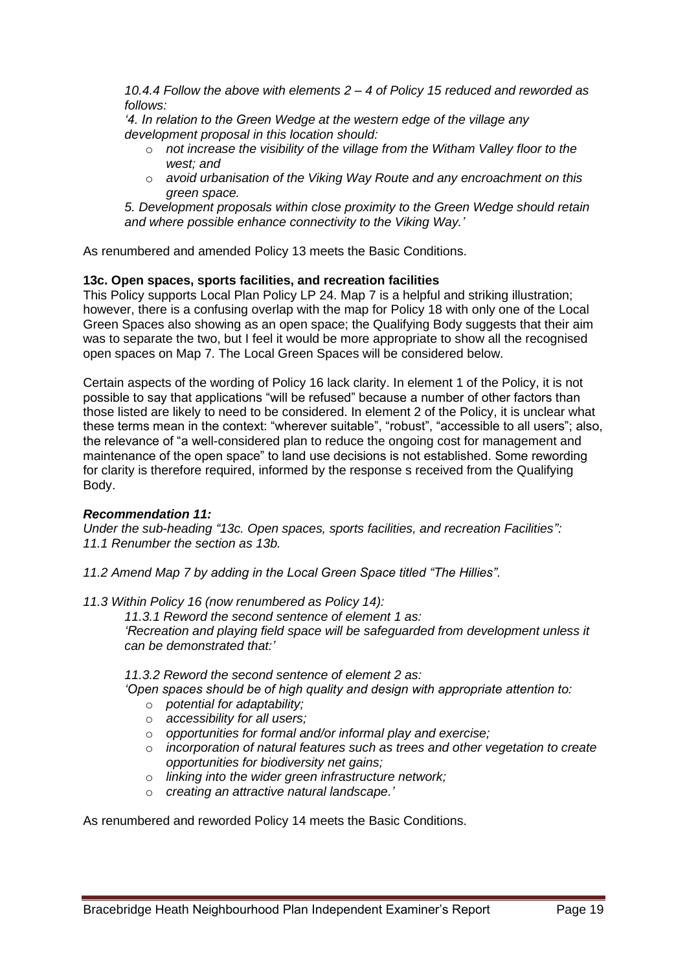*10.4.4 Follow the above with elements 2 – 4 of Policy 15 reduced and reworded as follows:*

*'4. In relation to the Green Wedge at the western edge of the village any development proposal in this location should:*

- o *not increase the visibility of the village from the Witham Valley floor to the west; and*
- o *avoid urbanisation of the Viking Way Route and any encroachment on this green space.*

*5. Development proposals within close proximity to the Green Wedge should retain and where possible enhance connectivity to the Viking Way.'*

As renumbered and amended Policy 13 meets the Basic Conditions.

#### **13c. Open spaces, sports facilities, and recreation facilities**

This Policy supports Local Plan Policy LP 24. Map 7 is a helpful and striking illustration; however, there is a confusing overlap with the map for Policy 18 with only one of the Local Green Spaces also showing as an open space; the Qualifying Body suggests that their aim was to separate the two, but I feel it would be more appropriate to show all the recognised open spaces on Map 7. The Local Green Spaces will be considered below.

Certain aspects of the wording of Policy 16 lack clarity. In element 1 of the Policy, it is not possible to say that applications "will be refused" because a number of other factors than those listed are likely to need to be considered. In element 2 of the Policy, it is unclear what these terms mean in the context: "wherever suitable", "robust", "accessible to all users"; also, the relevance of "a well-considered plan to reduce the ongoing cost for management and maintenance of the open space" to land use decisions is not established. Some rewording for clarity is therefore required, informed by the response s received from the Qualifying Body.

### *Recommendation 11:*

*Under the sub-heading "13c. Open spaces, sports facilities, and recreation Facilities": 11.1 Renumber the section as 13b.*

- *11.2 Amend Map 7 by adding in the Local Green Space titled "The Hillies".*
- *11.3 Within Policy 16 (now renumbered as Policy 14):*

*11.3.1 Reword the second sentence of element 1 as: 'Recreation and playing field space will be safeguarded from development unless it can be demonstrated that:'*

#### *11.3.2 Reword the second sentence of element 2 as:*

*'Open spaces should be of high quality and design with appropriate attention to:* 

- o *potential for adaptability;*
- o *accessibility for all users;*
- o *opportunities for formal and/or informal play and exercise;*
- o *incorporation of natural features such as trees and other vegetation to create opportunities for biodiversity net gains;*
- o *linking into the wider green infrastructure network;*
- o *creating an attractive natural landscape.'*

As renumbered and reworded Policy 14 meets the Basic Conditions.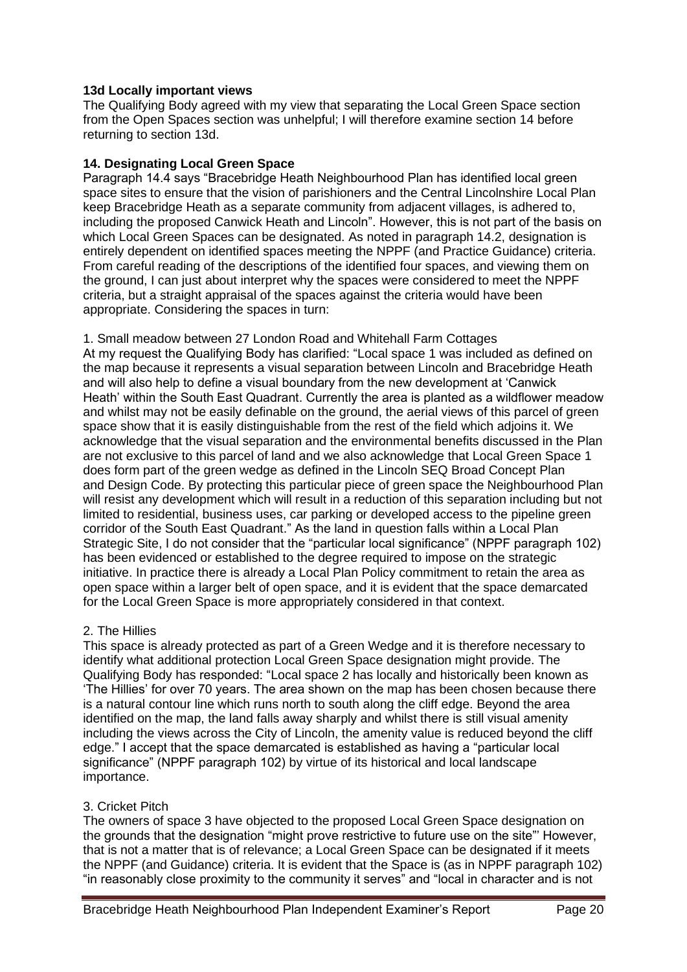### **13d Locally important views**

The Qualifying Body agreed with my view that separating the Local Green Space section from the Open Spaces section was unhelpful; I will therefore examine section 14 before returning to section 13d.

## **14. Designating Local Green Space**

Paragraph 14.4 says "Bracebridge Heath Neighbourhood Plan has identified local green space sites to ensure that the vision of parishioners and the Central Lincolnshire Local Plan keep Bracebridge Heath as a separate community from adjacent villages, is adhered to, including the proposed Canwick Heath and Lincoln". However, this is not part of the basis on which Local Green Spaces can be designated. As noted in paragraph 14.2, designation is entirely dependent on identified spaces meeting the NPPF (and Practice Guidance) criteria. From careful reading of the descriptions of the identified four spaces, and viewing them on the ground, I can just about interpret why the spaces were considered to meet the NPPF criteria, but a straight appraisal of the spaces against the criteria would have been appropriate. Considering the spaces in turn:

1. Small meadow between 27 London Road and Whitehall Farm Cottages At my request the Qualifying Body has clarified: "Local space 1 was included as defined on the map because it represents a visual separation between Lincoln and Bracebridge Heath and will also help to define a visual boundary from the new development at 'Canwick Heath' within the South East Quadrant. Currently the area is planted as a wildflower meadow and whilst may not be easily definable on the ground, the aerial views of this parcel of green space show that it is easily distinguishable from the rest of the field which adjoins it. We acknowledge that the visual separation and the environmental benefits discussed in the Plan are not exclusive to this parcel of land and we also acknowledge that Local Green Space 1 does form part of the green wedge as defined in the Lincoln SEQ Broad Concept Plan and Design Code. By protecting this particular piece of green space the Neighbourhood Plan will resist any development which will result in a reduction of this separation including but not limited to residential, business uses, car parking or developed access to the pipeline green corridor of the South East Quadrant." As the land in question falls within a Local Plan Strategic Site, I do not consider that the "particular local significance" (NPPF paragraph 102) has been evidenced or established to the degree required to impose on the strategic initiative. In practice there is already a Local Plan Policy commitment to retain the area as open space within a larger belt of open space, and it is evident that the space demarcated for the Local Green Space is more appropriately considered in that context.

# 2. The Hillies

This space is already protected as part of a Green Wedge and it is therefore necessary to identify what additional protection Local Green Space designation might provide. The Qualifying Body has responded: "Local space 2 has locally and historically been known as 'The Hillies' for over 70 years. The area shown on the map has been chosen because there is a natural contour line which runs north to south along the cliff edge. Beyond the area identified on the map, the land falls away sharply and whilst there is still visual amenity including the views across the City of Lincoln, the amenity value is reduced beyond the cliff edge." I accept that the space demarcated is established as having a "particular local significance" (NPPF paragraph 102) by virtue of its historical and local landscape importance.

# 3. Cricket Pitch

The owners of space 3 have objected to the proposed Local Green Space designation on the grounds that the designation "might prove restrictive to future use on the site"' However, that is not a matter that is of relevance; a Local Green Space can be designated if it meets the NPPF (and Guidance) criteria. It is evident that the Space is (as in NPPF paragraph 102) "in reasonably close proximity to the community it serves" and "local in character and is not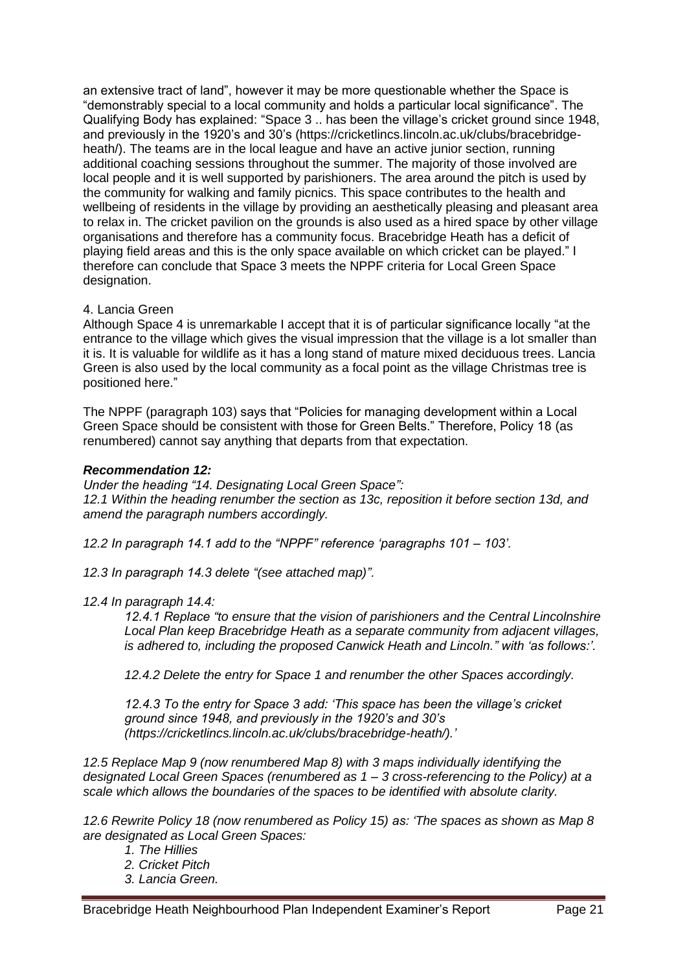an extensive tract of land", however it may be more questionable whether the Space is "demonstrably special to a local community and holds a particular local significance". The Qualifying Body has explained: "Space 3 .. has been the village's cricket ground since 1948, and previously in the 1920's and 30's (https://cricketlincs.lincoln.ac.uk/clubs/bracebridgeheath/). The teams are in the local league and have an active junior section, running additional coaching sessions throughout the summer. The majority of those involved are local people and it is well supported by parishioners. The area around the pitch is used by the community for walking and family picnics. This space contributes to the health and wellbeing of residents in the village by providing an aesthetically pleasing and pleasant area to relax in. The cricket pavilion on the grounds is also used as a hired space by other village organisations and therefore has a community focus. Bracebridge Heath has a deficit of playing field areas and this is the only space available on which cricket can be played." I therefore can conclude that Space 3 meets the NPPF criteria for Local Green Space designation.

### 4. Lancia Green

Although Space 4 is unremarkable I accept that it is of particular significance locally "at the entrance to the village which gives the visual impression that the village is a lot smaller than it is. It is valuable for wildlife as it has a long stand of mature mixed deciduous trees. Lancia Green is also used by the local community as a focal point as the village Christmas tree is positioned here."

The NPPF (paragraph 103) says that "Policies for managing development within a Local Green Space should be consistent with those for Green Belts." Therefore, Policy 18 (as renumbered) cannot say anything that departs from that expectation.

#### *Recommendation 12:*

*Under the heading "14. Designating Local Green Space": 12.1 Within the heading renumber the section as 13c, reposition it before section 13d, and amend the paragraph numbers accordingly.*

*12.2 In paragraph 14.1 add to the "NPPF" reference 'paragraphs 101 – 103'.*

*12.3 In paragraph 14.3 delete "(see attached map)".*

#### *12.4 In paragraph 14.4:*

*12.4.1 Replace "to ensure that the vision of parishioners and the Central Lincolnshire Local Plan keep Bracebridge Heath as a separate community from adjacent villages, is adhered to, including the proposed Canwick Heath and Lincoln." with 'as follows:'.*

*12.4.2 Delete the entry for Space 1 and renumber the other Spaces accordingly.*

*12.4.3 To the entry for Space 3 add: 'This space has been the village's cricket ground since 1948, and previously in the 1920's and 30's (https://cricketlincs.lincoln.ac.uk/clubs/bracebridge-heath/).'*

*12.5 Replace Map 9 (now renumbered Map 8) with 3 maps individually identifying the designated Local Green Spaces (renumbered as 1 – 3 cross-referencing to the Policy) at a scale which allows the boundaries of the spaces to be identified with absolute clarity.*

*12.6 Rewrite Policy 18 (now renumbered as Policy 15) as: 'The spaces as shown as Map 8 are designated as Local Green Spaces:* 

*1. The Hillies* 

- *2. Cricket Pitch*
- *3. Lancia Green.*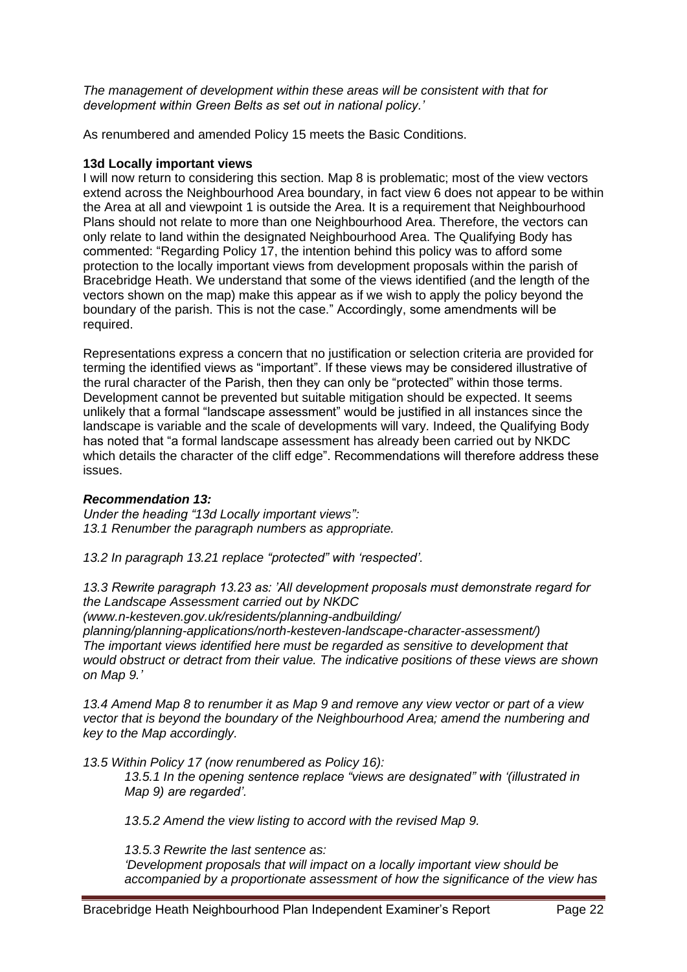*The management of development within these areas will be consistent with that for development within Green Belts as set out in national policy.'*

As renumbered and amended Policy 15 meets the Basic Conditions.

#### **13d Locally important views**

I will now return to considering this section. Map 8 is problematic; most of the view vectors extend across the Neighbourhood Area boundary, in fact view 6 does not appear to be within the Area at all and viewpoint 1 is outside the Area. It is a requirement that Neighbourhood Plans should not relate to more than one Neighbourhood Area. Therefore, the vectors can only relate to land within the designated Neighbourhood Area. The Qualifying Body has commented: "Regarding Policy 17, the intention behind this policy was to afford some protection to the locally important views from development proposals within the parish of Bracebridge Heath. We understand that some of the views identified (and the length of the vectors shown on the map) make this appear as if we wish to apply the policy beyond the boundary of the parish. This is not the case." Accordingly, some amendments will be required.

Representations express a concern that no justification or selection criteria are provided for terming the identified views as "important". If these views may be considered illustrative of the rural character of the Parish, then they can only be "protected" within those terms. Development cannot be prevented but suitable mitigation should be expected. It seems unlikely that a formal "landscape assessment" would be justified in all instances since the landscape is variable and the scale of developments will vary. Indeed, the Qualifying Body has noted that "a formal landscape assessment has already been carried out by NKDC which details the character of the cliff edge". Recommendations will therefore address these issues.

### *Recommendation 13:*

*Under the heading "13d Locally important views": 13.1 Renumber the paragraph numbers as appropriate.*

*13.2 In paragraph 13.21 replace "protected" with 'respected'.*

*13.3 Rewrite paragraph 13.23 as: 'All development proposals must demonstrate regard for the Landscape Assessment carried out by NKDC*

*(www.n-kesteven.gov.uk/residents/planning-andbuilding/*

*planning/planning-applications/north-kesteven-landscape-character-assessment/) The important views identified here must be regarded as sensitive to development that would obstruct or detract from their value. The indicative positions of these views are shown on Map 9.'*

*13.4 Amend Map 8 to renumber it as Map 9 and remove any view vector or part of a view vector that is beyond the boundary of the Neighbourhood Area; amend the numbering and key to the Map accordingly.*

*13.5 Within Policy 17 (now renumbered as Policy 16):*

*13.5.1 In the opening sentence replace "views are designated" with '(illustrated in Map 9) are regarded'.*

*13.5.2 Amend the view listing to accord with the revised Map 9.*

*13.5.3 Rewrite the last sentence as:* 

*'Development proposals that will impact on a locally important view should be accompanied by a proportionate assessment of how the significance of the view has*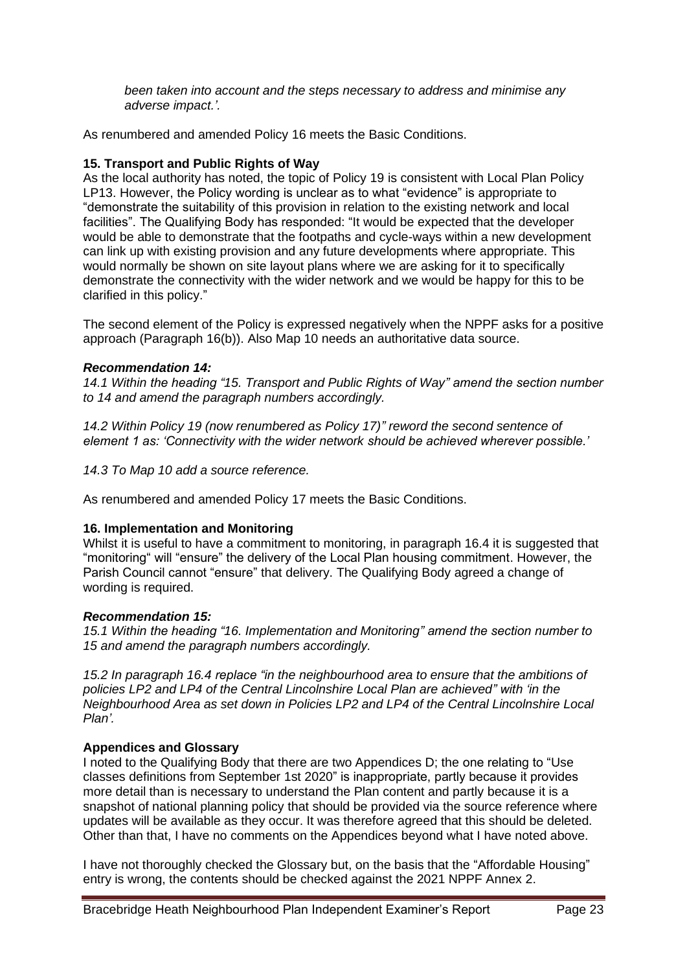*been taken into account and the steps necessary to address and minimise any adverse impact.'.*

As renumbered and amended Policy 16 meets the Basic Conditions.

# **15. Transport and Public Rights of Way**

As the local authority has noted, the topic of Policy 19 is consistent with Local Plan Policy LP13. However, the Policy wording is unclear as to what "evidence" is appropriate to "demonstrate the suitability of this provision in relation to the existing network and local facilities". The Qualifying Body has responded: "It would be expected that the developer would be able to demonstrate that the footpaths and cycle-ways within a new development can link up with existing provision and any future developments where appropriate. This would normally be shown on site layout plans where we are asking for it to specifically demonstrate the connectivity with the wider network and we would be happy for this to be clarified in this policy."

The second element of the Policy is expressed negatively when the NPPF asks for a positive approach (Paragraph 16(b)). Also Map 10 needs an authoritative data source.

### *Recommendation 14:*

*14.1 Within the heading "15. Transport and Public Rights of Way" amend the section number to 14 and amend the paragraph numbers accordingly.*

*14.2 Within Policy 19 (now renumbered as Policy 17)" reword the second sentence of element 1 as: 'Connectivity with the wider network should be achieved wherever possible.'*

*14.3 To Map 10 add a source reference.*

As renumbered and amended Policy 17 meets the Basic Conditions.

### **16. Implementation and Monitoring**

Whilst it is useful to have a commitment to monitoring, in paragraph 16.4 it is suggested that "monitoring" will "ensure" the delivery of the Local Plan housing commitment. However, the Parish Council cannot "ensure" that delivery. The Qualifying Body agreed a change of wording is required.

### *Recommendation 15:*

*15.1 Within the heading "16. Implementation and Monitoring" amend the section number to 15 and amend the paragraph numbers accordingly.*

*15.2 In paragraph 16.4 replace "in the neighbourhood area to ensure that the ambitions of policies LP2 and LP4 of the Central Lincolnshire Local Plan are achieved" with 'in the Neighbourhood Area as set down in Policies LP2 and LP4 of the Central Lincolnshire Local Plan'.* 

# **Appendices and Glossary**

I noted to the Qualifying Body that there are two Appendices D; the one relating to "Use classes definitions from September 1st 2020" is inappropriate, partly because it provides more detail than is necessary to understand the Plan content and partly because it is a snapshot of national planning policy that should be provided via the source reference where updates will be available as they occur. It was therefore agreed that this should be deleted. Other than that, I have no comments on the Appendices beyond what I have noted above.

I have not thoroughly checked the Glossary but, on the basis that the "Affordable Housing" entry is wrong, the contents should be checked against the 2021 NPPF Annex 2.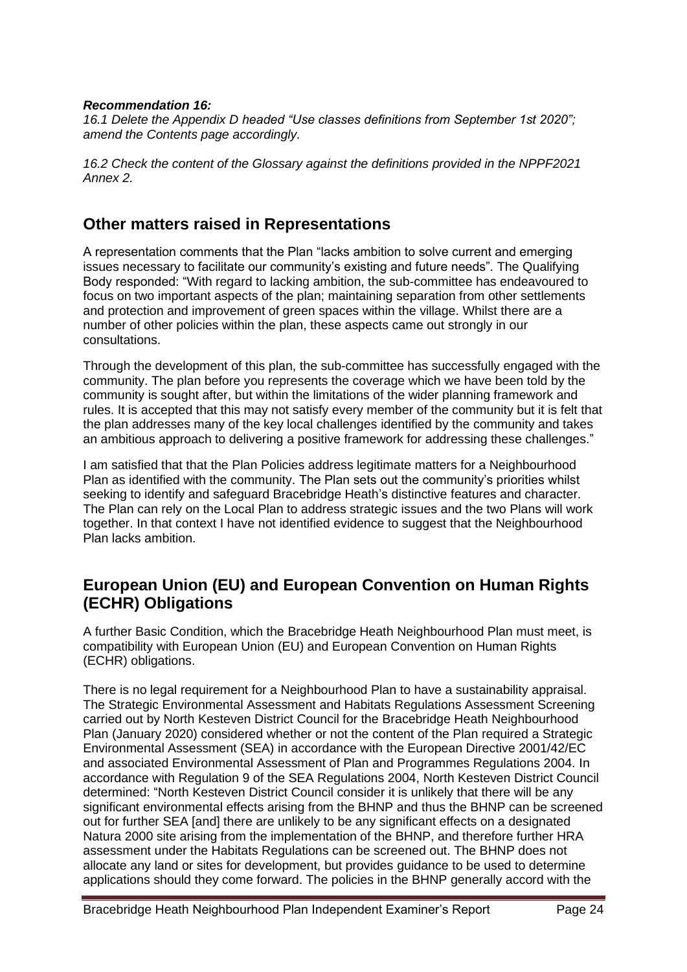### *Recommendation 16:*

*16.1 Delete the Appendix D headed "Use classes definitions from September 1st 2020"; amend the Contents page accordingly.*

*16.2 Check the content of the Glossary against the definitions provided in the NPPF2021 Annex 2.*

# **Other matters raised in Representations**

A representation comments that the Plan "lacks ambition to solve current and emerging issues necessary to facilitate our community's existing and future needs". The Qualifying Body responded: "With regard to lacking ambition, the sub-committee has endeavoured to focus on two important aspects of the plan; maintaining separation from other settlements and protection and improvement of green spaces within the village. Whilst there are a number of other policies within the plan, these aspects came out strongly in our consultations.

Through the development of this plan, the sub-committee has successfully engaged with the community. The plan before you represents the coverage which we have been told by the community is sought after, but within the limitations of the wider planning framework and rules. It is accepted that this may not satisfy every member of the community but it is felt that the plan addresses many of the key local challenges identified by the community and takes an ambitious approach to delivering a positive framework for addressing these challenges."

I am satisfied that that the Plan Policies address legitimate matters for a Neighbourhood Plan as identified with the community. The Plan sets out the community's priorities whilst seeking to identify and safeguard Bracebridge Heath's distinctive features and character. The Plan can rely on the Local Plan to address strategic issues and the two Plans will work together. In that context I have not identified evidence to suggest that the Neighbourhood Plan lacks ambition.

# **European Union (EU) and European Convention on Human Rights (ECHR) Obligations**

A further Basic Condition, which the Bracebridge Heath Neighbourhood Plan must meet, is compatibility with European Union (EU) and European Convention on Human Rights (ECHR) obligations.

There is no legal requirement for a Neighbourhood Plan to have a sustainability appraisal. The Strategic Environmental Assessment and Habitats Regulations Assessment Screening carried out by North Kesteven District Council for the Bracebridge Heath Neighbourhood Plan (January 2020) considered whether or not the content of the Plan required a Strategic Environmental Assessment (SEA) in accordance with the European Directive 2001/42/EC and associated Environmental Assessment of Plan and Programmes Regulations 2004. In accordance with Regulation 9 of the SEA Regulations 2004, North Kesteven District Council determined: "North Kesteven District Council consider it is unlikely that there will be any significant environmental effects arising from the BHNP and thus the BHNP can be screened out for further SEA [and] there are unlikely to be any significant effects on a designated Natura 2000 site arising from the implementation of the BHNP, and therefore further HRA assessment under the Habitats Regulations can be screened out. The BHNP does not allocate any land or sites for development, but provides guidance to be used to determine applications should they come forward. The policies in the BHNP generally accord with the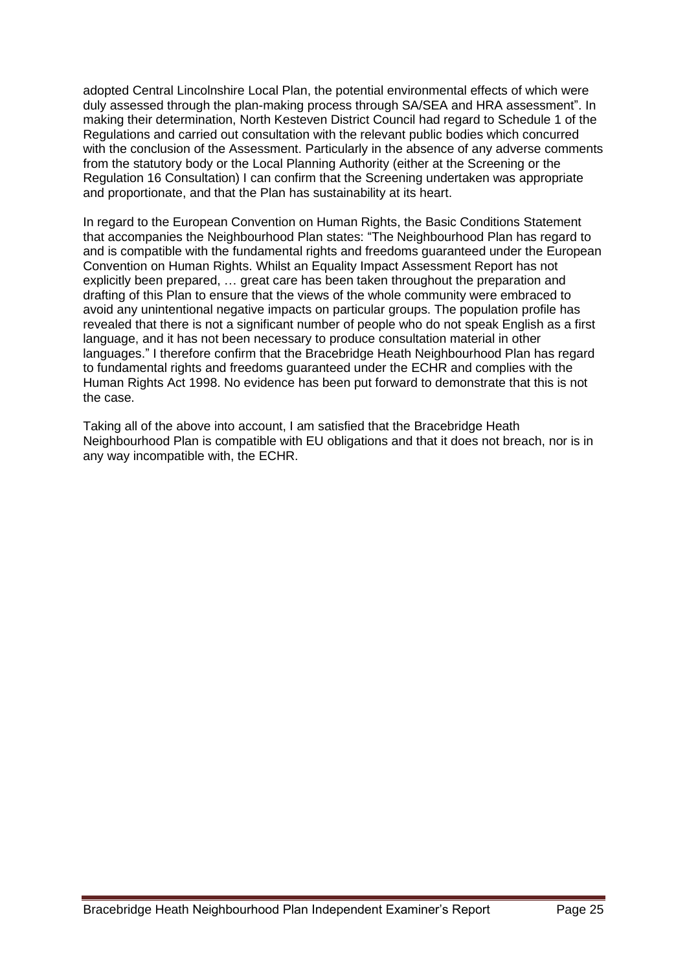adopted Central Lincolnshire Local Plan, the potential environmental effects of which were duly assessed through the plan-making process through SA/SEA and HRA assessment". In making their determination, North Kesteven District Council had regard to Schedule 1 of the Regulations and carried out consultation with the relevant public bodies which concurred with the conclusion of the Assessment. Particularly in the absence of any adverse comments from the statutory body or the Local Planning Authority (either at the Screening or the Regulation 16 Consultation) I can confirm that the Screening undertaken was appropriate and proportionate, and that the Plan has sustainability at its heart.

In regard to the European Convention on Human Rights, the Basic Conditions Statement that accompanies the Neighbourhood Plan states: "The Neighbourhood Plan has regard to and is compatible with the fundamental rights and freedoms guaranteed under the European Convention on Human Rights. Whilst an Equality Impact Assessment Report has not explicitly been prepared, … great care has been taken throughout the preparation and drafting of this Plan to ensure that the views of the whole community were embraced to avoid any unintentional negative impacts on particular groups. The population profile has revealed that there is not a significant number of people who do not speak English as a first language, and it has not been necessary to produce consultation material in other languages." I therefore confirm that the Bracebridge Heath Neighbourhood Plan has regard to fundamental rights and freedoms guaranteed under the ECHR and complies with the Human Rights Act 1998. No evidence has been put forward to demonstrate that this is not the case.

Taking all of the above into account, I am satisfied that the Bracebridge Heath Neighbourhood Plan is compatible with EU obligations and that it does not breach, nor is in any way incompatible with, the ECHR.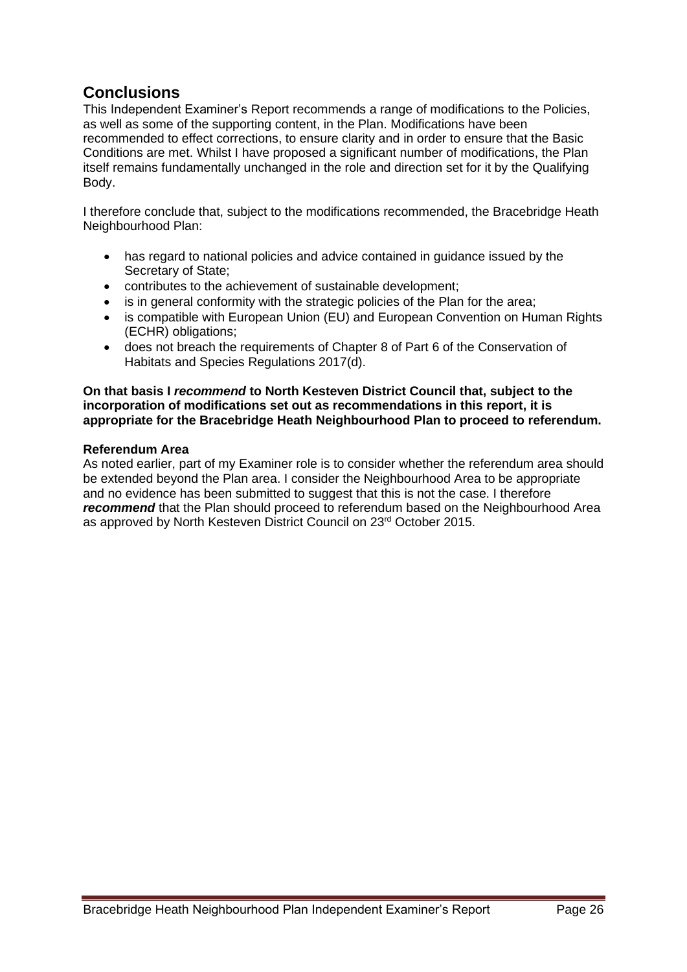# **Conclusions**

This Independent Examiner's Report recommends a range of modifications to the Policies, as well as some of the supporting content, in the Plan. Modifications have been recommended to effect corrections, to ensure clarity and in order to ensure that the Basic Conditions are met. Whilst I have proposed a significant number of modifications, the Plan itself remains fundamentally unchanged in the role and direction set for it by the Qualifying Body.

I therefore conclude that, subject to the modifications recommended, the Bracebridge Heath Neighbourhood Plan:

- has regard to national policies and advice contained in guidance issued by the Secretary of State;
- contributes to the achievement of sustainable development;
- is in general conformity with the strategic policies of the Plan for the area;
- is compatible with European Union (EU) and European Convention on Human Rights (ECHR) obligations;
- does not breach the requirements of Chapter 8 of Part 6 of the Conservation of Habitats and Species Regulations 2017(d).

#### **On that basis I** *recommend* **to North Kesteven District Council that, subject to the incorporation of modifications set out as recommendations in this report, it is appropriate for the Bracebridge Heath Neighbourhood Plan to proceed to referendum.**

### **Referendum Area**

As noted earlier, part of my Examiner role is to consider whether the referendum area should be extended beyond the Plan area. I consider the Neighbourhood Area to be appropriate and no evidence has been submitted to suggest that this is not the case. I therefore **recommend** that the Plan should proceed to referendum based on the Neighbourhood Area as approved by North Kesteven District Council on 23rd October 2015.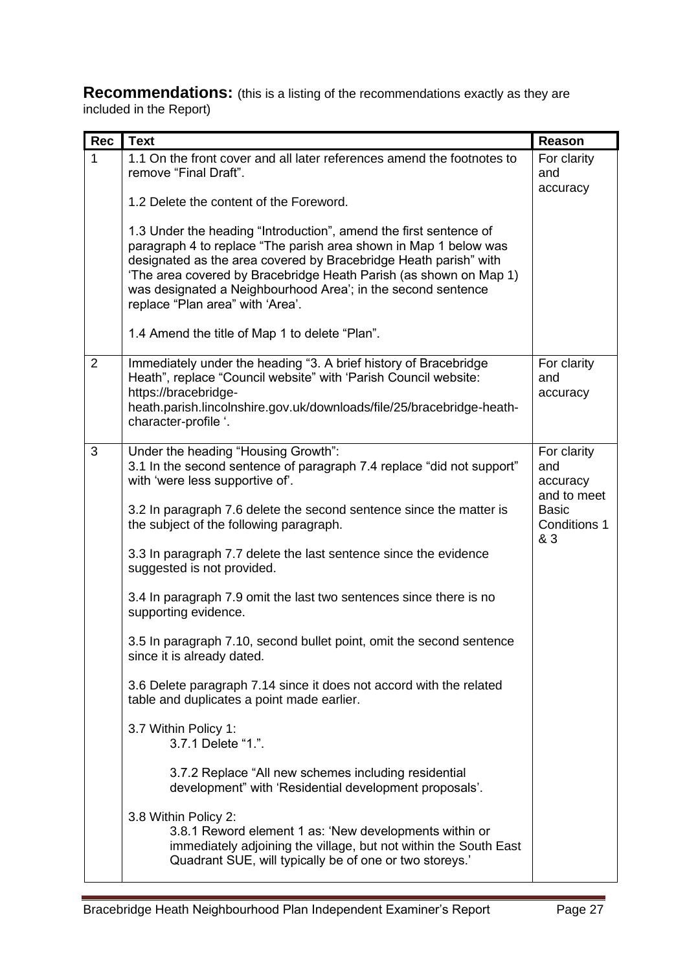**Recommendations:** (this is a listing of the recommendations exactly as they are included in the Report)

| <b>Rec</b>     | <b>Text</b>                                                                                                                                                                                                                                                                                                                                                                        | <b>Reason</b>                                 |
|----------------|------------------------------------------------------------------------------------------------------------------------------------------------------------------------------------------------------------------------------------------------------------------------------------------------------------------------------------------------------------------------------------|-----------------------------------------------|
| 1              | 1.1 On the front cover and all later references amend the footnotes to<br>remove "Final Draft".                                                                                                                                                                                                                                                                                    | For clarity<br>and<br>accuracy                |
|                | 1.2 Delete the content of the Foreword.                                                                                                                                                                                                                                                                                                                                            |                                               |
|                | 1.3 Under the heading "Introduction", amend the first sentence of<br>paragraph 4 to replace "The parish area shown in Map 1 below was<br>designated as the area covered by Bracebridge Heath parish" with<br>'The area covered by Bracebridge Heath Parish (as shown on Map 1)<br>was designated a Neighbourhood Area'; in the second sentence<br>replace "Plan area" with 'Area'. |                                               |
|                | 1.4 Amend the title of Map 1 to delete "Plan".                                                                                                                                                                                                                                                                                                                                     |                                               |
| $\overline{2}$ | Immediately under the heading "3. A brief history of Bracebridge<br>Heath", replace "Council website" with 'Parish Council website:<br>https://bracebridge-<br>heath.parish.lincolnshire.gov.uk/downloads/file/25/bracebridge-heath-                                                                                                                                               | For clarity<br>and<br>accuracy                |
|                | character-profile '.                                                                                                                                                                                                                                                                                                                                                               |                                               |
| 3              | Under the heading "Housing Growth":<br>3.1 In the second sentence of paragraph 7.4 replace "did not support"<br>with 'were less supportive of'.                                                                                                                                                                                                                                    | For clarity<br>and<br>accuracy<br>and to meet |
|                | 3.2 In paragraph 7.6 delete the second sentence since the matter is<br>the subject of the following paragraph.                                                                                                                                                                                                                                                                     | <b>Basic</b><br>Conditions 1<br>& 3           |
|                | 3.3 In paragraph 7.7 delete the last sentence since the evidence<br>suggested is not provided.                                                                                                                                                                                                                                                                                     |                                               |
|                | 3.4 In paragraph 7.9 omit the last two sentences since there is no<br>supporting evidence.                                                                                                                                                                                                                                                                                         |                                               |
|                | 3.5 In paragraph 7.10, second bullet point, omit the second sentence<br>since it is already dated.                                                                                                                                                                                                                                                                                 |                                               |
|                | 3.6 Delete paragraph 7.14 since it does not accord with the related<br>table and duplicates a point made earlier.                                                                                                                                                                                                                                                                  |                                               |
|                | 3.7 Within Policy 1:<br>3.7.1 Delete "1.".                                                                                                                                                                                                                                                                                                                                         |                                               |
|                | 3.7.2 Replace "All new schemes including residential<br>development" with 'Residential development proposals'.                                                                                                                                                                                                                                                                     |                                               |
|                | 3.8 Within Policy 2:<br>3.8.1 Reword element 1 as: 'New developments within or<br>immediately adjoining the village, but not within the South East<br>Quadrant SUE, will typically be of one or two storeys.'                                                                                                                                                                      |                                               |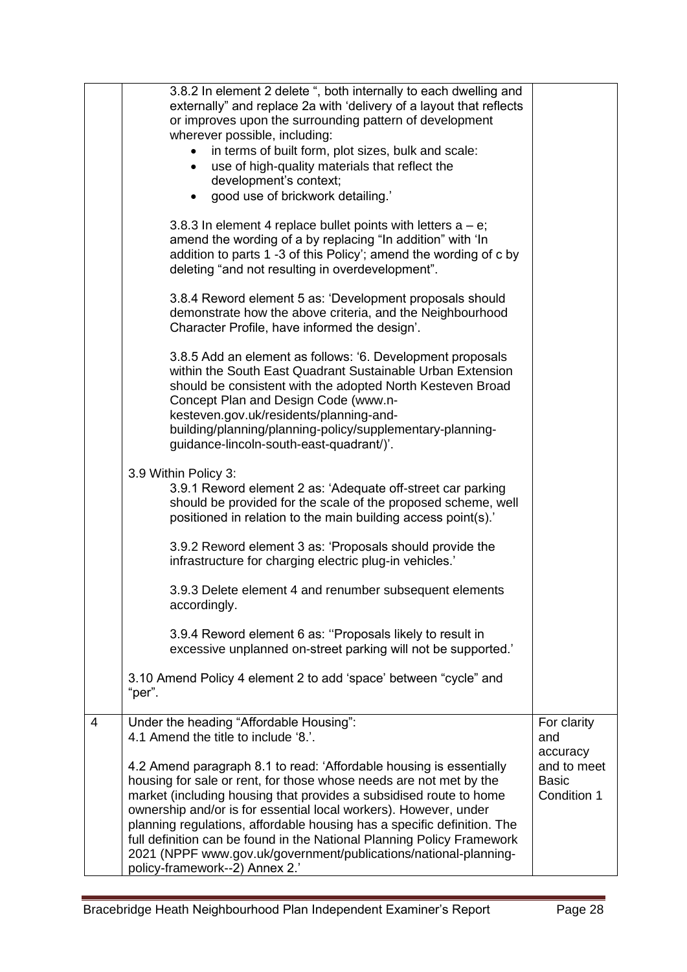| 4 | 3.8.5 Add an element as follows: '6. Development proposals<br>within the South East Quadrant Sustainable Urban Extension<br>should be consistent with the adopted North Kesteven Broad<br>Concept Plan and Design Code (www.n-<br>kesteven.gov.uk/residents/planning-and-<br>building/planning/planning-policy/supplementary-planning-<br>guidance-lincoln-south-east-quadrant/)'.<br>3.9 Within Policy 3:<br>3.9.1 Reword element 2 as: 'Adequate off-street car parking<br>should be provided for the scale of the proposed scheme, well<br>positioned in relation to the main building access point(s).'<br>3.9.2 Reword element 3 as: 'Proposals should provide the<br>infrastructure for charging electric plug-in vehicles.'<br>3.9.3 Delete element 4 and renumber subsequent elements<br>accordingly.<br>3.9.4 Reword element 6 as: "Proposals likely to result in<br>excessive unplanned on-street parking will not be supported.'<br>3.10 Amend Policy 4 element 2 to add 'space' between "cycle" and<br>"per".<br>Under the heading "Affordable Housing":<br>4.1 Amend the title to include '8.'.<br>4.2 Amend paragraph 8.1 to read: 'Affordable housing is essentially | For clarity<br>and<br>accuracy<br>and to meet |
|---|-------------------------------------------------------------------------------------------------------------------------------------------------------------------------------------------------------------------------------------------------------------------------------------------------------------------------------------------------------------------------------------------------------------------------------------------------------------------------------------------------------------------------------------------------------------------------------------------------------------------------------------------------------------------------------------------------------------------------------------------------------------------------------------------------------------------------------------------------------------------------------------------------------------------------------------------------------------------------------------------------------------------------------------------------------------------------------------------------------------------------------------------------------------------------------------|-----------------------------------------------|
|   | 3.8.4 Reword element 5 as: 'Development proposals should<br>demonstrate how the above criteria, and the Neighbourhood<br>Character Profile, have informed the design'.                                                                                                                                                                                                                                                                                                                                                                                                                                                                                                                                                                                                                                                                                                                                                                                                                                                                                                                                                                                                              |                                               |
|   | 3.8.3 In element 4 replace bullet points with letters $a - e$ ;<br>amend the wording of a by replacing "In addition" with 'In<br>addition to parts 1 -3 of this Policy'; amend the wording of c by<br>deleting "and not resulting in overdevelopment".                                                                                                                                                                                                                                                                                                                                                                                                                                                                                                                                                                                                                                                                                                                                                                                                                                                                                                                              |                                               |
|   | 3.8.2 In element 2 delete ", both internally to each dwelling and<br>externally" and replace 2a with 'delivery of a layout that reflects<br>or improves upon the surrounding pattern of development<br>wherever possible, including:<br>in terms of built form, plot sizes, bulk and scale:<br>use of high-quality materials that reflect the<br>development's context;<br>• good use of brickwork detailing.'                                                                                                                                                                                                                                                                                                                                                                                                                                                                                                                                                                                                                                                                                                                                                                      |                                               |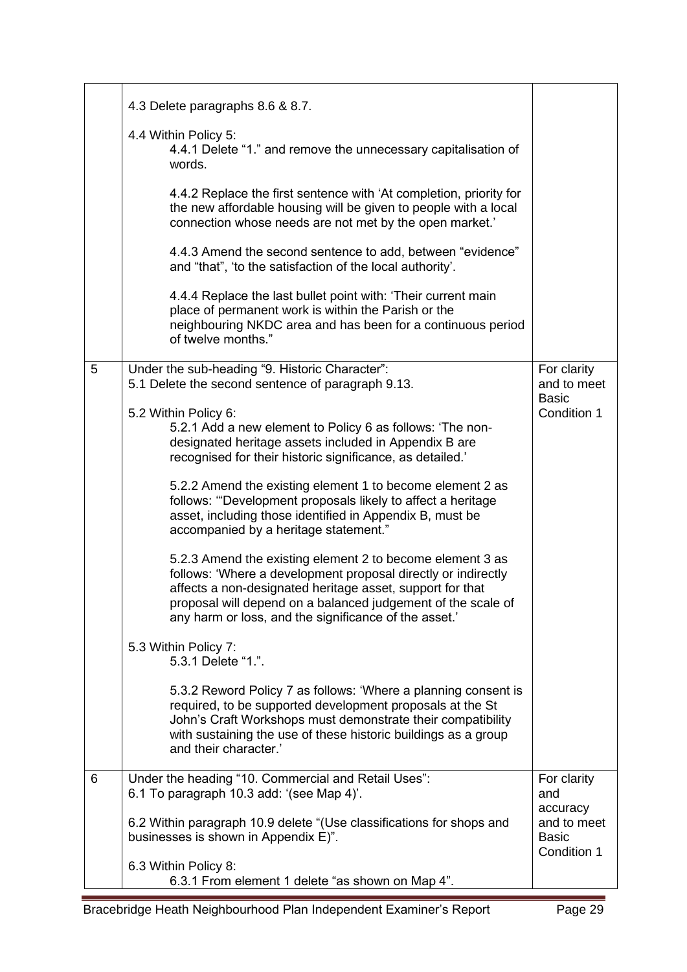|   | 4.3 Delete paragraphs 8.6 & 8.7.                                                                                                                                                                                                                                                                                 |                                                        |
|---|------------------------------------------------------------------------------------------------------------------------------------------------------------------------------------------------------------------------------------------------------------------------------------------------------------------|--------------------------------------------------------|
|   | 4.4 Within Policy 5:<br>4.4.1 Delete "1." and remove the unnecessary capitalisation of<br>words.                                                                                                                                                                                                                 |                                                        |
|   | 4.4.2 Replace the first sentence with 'At completion, priority for<br>the new affordable housing will be given to people with a local<br>connection whose needs are not met by the open market.'                                                                                                                 |                                                        |
|   | 4.4.3 Amend the second sentence to add, between "evidence"<br>and "that", 'to the satisfaction of the local authority'.                                                                                                                                                                                          |                                                        |
|   | 4.4.4 Replace the last bullet point with: 'Their current main<br>place of permanent work is within the Parish or the<br>neighbouring NKDC area and has been for a continuous period<br>of twelve months."                                                                                                        |                                                        |
| 5 | Under the sub-heading "9. Historic Character":<br>5.1 Delete the second sentence of paragraph 9.13.                                                                                                                                                                                                              | For clarity<br>and to meet<br><b>Basic</b>             |
|   | 5.2 Within Policy 6:<br>5.2.1 Add a new element to Policy 6 as follows: 'The non-<br>designated heritage assets included in Appendix B are<br>recognised for their historic significance, as detailed.'                                                                                                          | Condition 1                                            |
|   | 5.2.2 Amend the existing element 1 to become element 2 as<br>follows: "Development proposals likely to affect a heritage<br>asset, including those identified in Appendix B, must be<br>accompanied by a heritage statement."                                                                                    |                                                        |
|   | 5.2.3 Amend the existing element 2 to become element 3 as<br>follows: 'Where a development proposal directly or indirectly<br>affects a non-designated heritage asset, support for that<br>proposal will depend on a balanced judgement of the scale of<br>any harm or loss, and the significance of the asset.' |                                                        |
|   | 5.3 Within Policy 7:<br>5.3.1 Delete "1.".                                                                                                                                                                                                                                                                       |                                                        |
|   | 5.3.2 Reword Policy 7 as follows: 'Where a planning consent is<br>required, to be supported development proposals at the St<br>John's Craft Workshops must demonstrate their compatibility<br>with sustaining the use of these historic buildings as a group<br>and their character.'                            |                                                        |
| 6 | Under the heading "10. Commercial and Retail Uses":<br>6.1 To paragraph 10.3 add: '(see Map 4)'.                                                                                                                                                                                                                 | For clarity<br>and                                     |
|   | 6.2 Within paragraph 10.9 delete "(Use classifications for shops and<br>businesses is shown in Appendix E)".                                                                                                                                                                                                     | accuracy<br>and to meet<br><b>Basic</b><br>Condition 1 |
|   | 6.3 Within Policy 8:<br>6.3.1 From element 1 delete "as shown on Map 4".                                                                                                                                                                                                                                         |                                                        |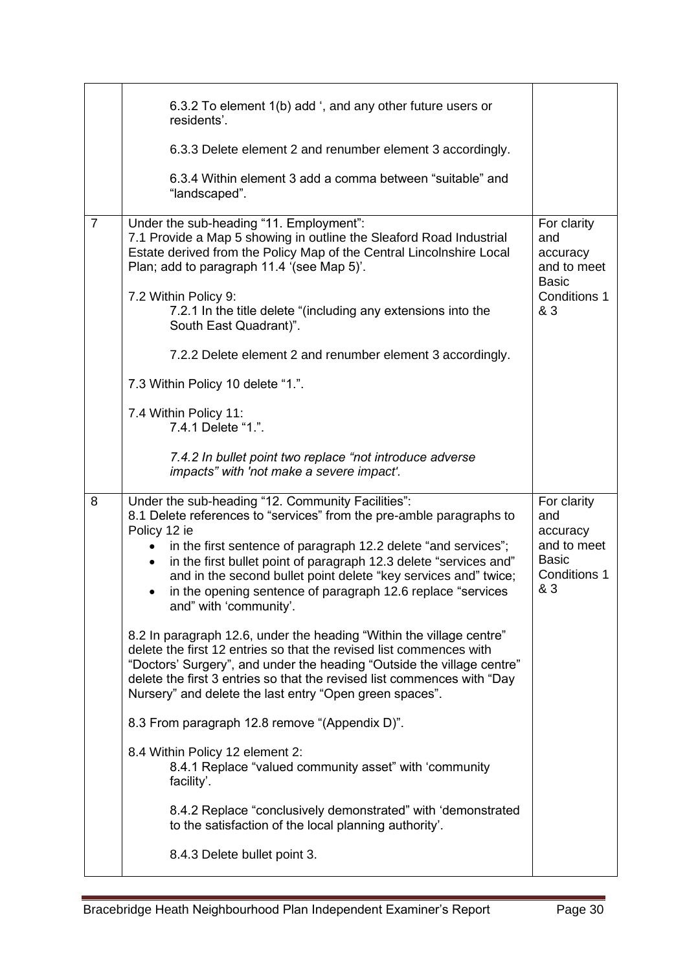|                | 6.3.2 To element 1(b) add ', and any other future users or<br>residents'.                                                                                                                                                                                                                                                                                                                                                                                 |                                                                                             |
|----------------|-----------------------------------------------------------------------------------------------------------------------------------------------------------------------------------------------------------------------------------------------------------------------------------------------------------------------------------------------------------------------------------------------------------------------------------------------------------|---------------------------------------------------------------------------------------------|
|                | 6.3.3 Delete element 2 and renumber element 3 accordingly.                                                                                                                                                                                                                                                                                                                                                                                                |                                                                                             |
|                | 6.3.4 Within element 3 add a comma between "suitable" and<br>"landscaped".                                                                                                                                                                                                                                                                                                                                                                                |                                                                                             |
| $\overline{7}$ | Under the sub-heading "11. Employment":<br>7.1 Provide a Map 5 showing in outline the Sleaford Road Industrial<br>Estate derived from the Policy Map of the Central Lincolnshire Local<br>Plan; add to paragraph 11.4 '(see Map 5)'.                                                                                                                                                                                                                      | For clarity<br>and<br>accuracy<br>and to meet<br><b>Basic</b>                               |
|                | 7.2 Within Policy 9:<br>7.2.1 In the title delete "(including any extensions into the<br>South East Quadrant)".                                                                                                                                                                                                                                                                                                                                           | Conditions 1<br>& 3                                                                         |
|                | 7.2.2 Delete element 2 and renumber element 3 accordingly.                                                                                                                                                                                                                                                                                                                                                                                                |                                                                                             |
|                | 7.3 Within Policy 10 delete "1.".                                                                                                                                                                                                                                                                                                                                                                                                                         |                                                                                             |
|                | 7.4 Within Policy 11:<br>7.4.1 Delete "1.".                                                                                                                                                                                                                                                                                                                                                                                                               |                                                                                             |
|                | 7.4.2 In bullet point two replace "not introduce adverse<br>impacts" with 'not make a severe impact'.                                                                                                                                                                                                                                                                                                                                                     |                                                                                             |
| 8              | Under the sub-heading "12. Community Facilities":<br>8.1 Delete references to "services" from the pre-amble paragraphs to<br>Policy 12 ie<br>in the first sentence of paragraph 12.2 delete "and services";<br>in the first bullet point of paragraph 12.3 delete "services and"<br>and in the second bullet point delete "key services and" twice;<br>in the opening sentence of paragraph 12.6 replace "services<br>$\bullet$<br>and" with 'community'. | For clarity<br>and<br>accuracy<br>and to meet<br><b>Basic</b><br><b>Conditions 1</b><br>& 3 |
|                | 8.2 In paragraph 12.6, under the heading "Within the village centre"<br>delete the first 12 entries so that the revised list commences with<br>"Doctors' Surgery", and under the heading "Outside the village centre"<br>delete the first 3 entries so that the revised list commences with "Day<br>Nursery" and delete the last entry "Open green spaces".                                                                                               |                                                                                             |
|                | 8.3 From paragraph 12.8 remove "(Appendix D)".                                                                                                                                                                                                                                                                                                                                                                                                            |                                                                                             |
|                | 8.4 Within Policy 12 element 2:<br>8.4.1 Replace "valued community asset" with 'community<br>facility'.                                                                                                                                                                                                                                                                                                                                                   |                                                                                             |
|                |                                                                                                                                                                                                                                                                                                                                                                                                                                                           |                                                                                             |
|                | 8.4.2 Replace "conclusively demonstrated" with 'demonstrated<br>to the satisfaction of the local planning authority'.                                                                                                                                                                                                                                                                                                                                     |                                                                                             |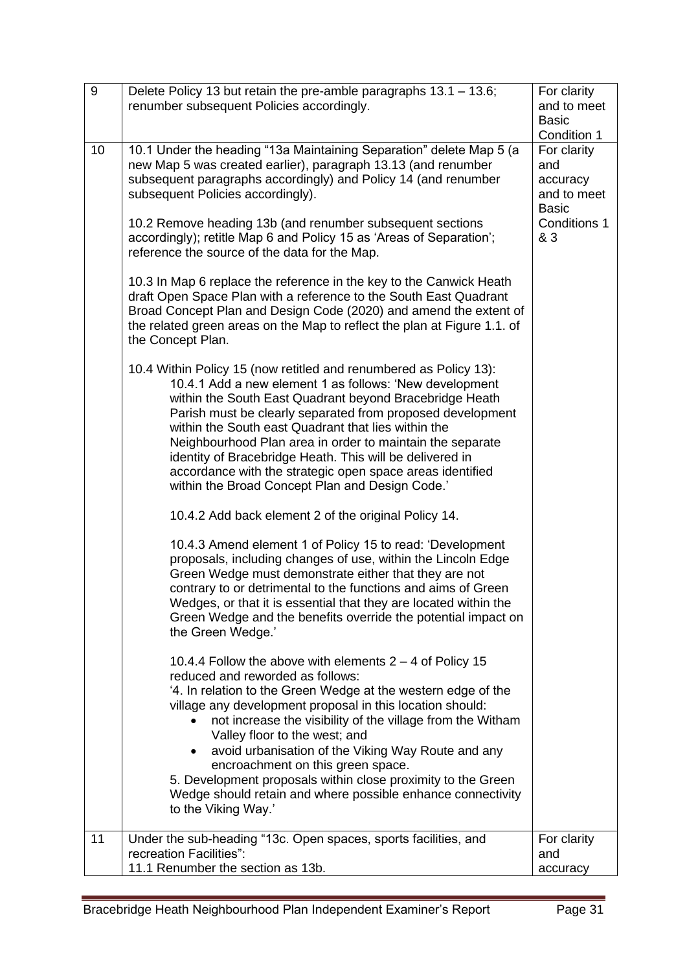| 9  | Delete Policy 13 but retain the pre-amble paragraphs 13.1 - 13.6;<br>renumber subsequent Policies accordingly.                                                                                                                                                                                                                                                                                                                                                                                                                                                               | For clarity<br>and to meet<br><b>Basic</b><br>Condition 1                            |
|----|------------------------------------------------------------------------------------------------------------------------------------------------------------------------------------------------------------------------------------------------------------------------------------------------------------------------------------------------------------------------------------------------------------------------------------------------------------------------------------------------------------------------------------------------------------------------------|--------------------------------------------------------------------------------------|
| 10 | 10.1 Under the heading "13a Maintaining Separation" delete Map 5 (a<br>new Map 5 was created earlier), paragraph 13.13 (and renumber<br>subsequent paragraphs accordingly) and Policy 14 (and renumber<br>subsequent Policies accordingly).<br>10.2 Remove heading 13b (and renumber subsequent sections<br>accordingly); retitle Map 6 and Policy 15 as 'Areas of Separation';<br>reference the source of the data for the Map.                                                                                                                                             | For clarity<br>and<br>accuracy<br>and to meet<br><b>Basic</b><br>Conditions 1<br>& 3 |
|    | 10.3 In Map 6 replace the reference in the key to the Canwick Heath<br>draft Open Space Plan with a reference to the South East Quadrant<br>Broad Concept Plan and Design Code (2020) and amend the extent of<br>the related green areas on the Map to reflect the plan at Figure 1.1. of<br>the Concept Plan.                                                                                                                                                                                                                                                               |                                                                                      |
|    | 10.4 Within Policy 15 (now retitled and renumbered as Policy 13):<br>10.4.1 Add a new element 1 as follows: 'New development<br>within the South East Quadrant beyond Bracebridge Heath<br>Parish must be clearly separated from proposed development<br>within the South east Quadrant that lies within the<br>Neighbourhood Plan area in order to maintain the separate<br>identity of Bracebridge Heath. This will be delivered in<br>accordance with the strategic open space areas identified<br>within the Broad Concept Plan and Design Code.'                        |                                                                                      |
|    | 10.4.2 Add back element 2 of the original Policy 14.<br>10.4.3 Amend element 1 of Policy 15 to read: 'Development<br>proposals, including changes of use, within the Lincoln Edge<br>Green Wedge must demonstrate either that they are not<br>contrary to or detrimental to the functions and aims of Green<br>Wedges, or that it is essential that they are located within the<br>Green Wedge and the benefits override the potential impact on<br>the Green Wedge.'                                                                                                        |                                                                                      |
|    | 10.4.4 Follow the above with elements $2 - 4$ of Policy 15<br>reduced and reworded as follows:<br>'4. In relation to the Green Wedge at the western edge of the<br>village any development proposal in this location should:<br>not increase the visibility of the village from the Witham<br>Valley floor to the west; and<br>avoid urbanisation of the Viking Way Route and any<br>encroachment on this green space.<br>5. Development proposals within close proximity to the Green<br>Wedge should retain and where possible enhance connectivity<br>to the Viking Way.' |                                                                                      |
| 11 | Under the sub-heading "13c. Open spaces, sports facilities, and<br>recreation Facilities":<br>11.1 Renumber the section as 13b.                                                                                                                                                                                                                                                                                                                                                                                                                                              | For clarity<br>and<br>accuracy                                                       |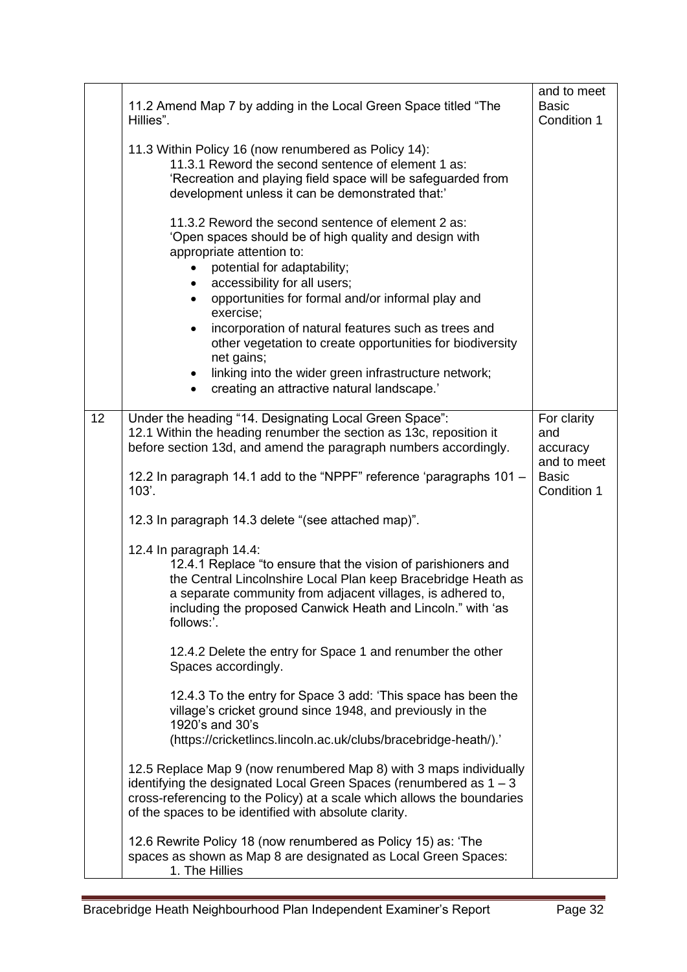|    | 11.2 Amend Map 7 by adding in the Local Green Space titled "The<br>Hillies".                                                                                                                                                                                                                          | and to meet<br><b>Basic</b><br>Condition 1    |
|----|-------------------------------------------------------------------------------------------------------------------------------------------------------------------------------------------------------------------------------------------------------------------------------------------------------|-----------------------------------------------|
|    | 11.3 Within Policy 16 (now renumbered as Policy 14):<br>11.3.1 Reword the second sentence of element 1 as:<br>'Recreation and playing field space will be safeguarded from<br>development unless it can be demonstrated that:'                                                                        |                                               |
|    | 11.3.2 Reword the second sentence of element 2 as:<br>'Open spaces should be of high quality and design with<br>appropriate attention to:<br>potential for adaptability;<br>accessibility for all users;<br>opportunities for formal and/or informal play and<br>exercise;                            |                                               |
|    | incorporation of natural features such as trees and<br>$\bullet$<br>other vegetation to create opportunities for biodiversity<br>net gains;<br>linking into the wider green infrastructure network;<br>creating an attractive natural landscape.'                                                     |                                               |
|    |                                                                                                                                                                                                                                                                                                       |                                               |
| 12 | Under the heading "14. Designating Local Green Space":<br>12.1 Within the heading renumber the section as 13c, reposition it<br>before section 13d, and amend the paragraph numbers accordingly.                                                                                                      | For clarity<br>and<br>accuracy<br>and to meet |
|    | 12.2 In paragraph 14.1 add to the "NPPF" reference 'paragraphs 101 -<br>103'.                                                                                                                                                                                                                         | <b>Basic</b><br>Condition 1                   |
|    | 12.3 In paragraph 14.3 delete "(see attached map)".                                                                                                                                                                                                                                                   |                                               |
|    | 12.4 In paragraph 14.4:<br>12.4.1 Replace "to ensure that the vision of parishioners and<br>the Central Lincolnshire Local Plan keep Bracebridge Heath as<br>a separate community from adjacent villages, is adhered to,<br>including the proposed Canwick Heath and Lincoln." with 'as<br>follows:'. |                                               |
|    | 12.4.2 Delete the entry for Space 1 and renumber the other<br>Spaces accordingly.                                                                                                                                                                                                                     |                                               |
|    | 12.4.3 To the entry for Space 3 add: 'This space has been the<br>village's cricket ground since 1948, and previously in the<br>1920's and 30's<br>(https://cricketlincs.lincoln.ac.uk/clubs/bracebridge-heath/).'                                                                                     |                                               |
|    | 12.5 Replace Map 9 (now renumbered Map 8) with 3 maps individually<br>identifying the designated Local Green Spaces (renumbered as $1 - 3$<br>cross-referencing to the Policy) at a scale which allows the boundaries<br>of the spaces to be identified with absolute clarity.                        |                                               |
|    | 12.6 Rewrite Policy 18 (now renumbered as Policy 15) as: 'The<br>spaces as shown as Map 8 are designated as Local Green Spaces:<br>1. The Hillies                                                                                                                                                     |                                               |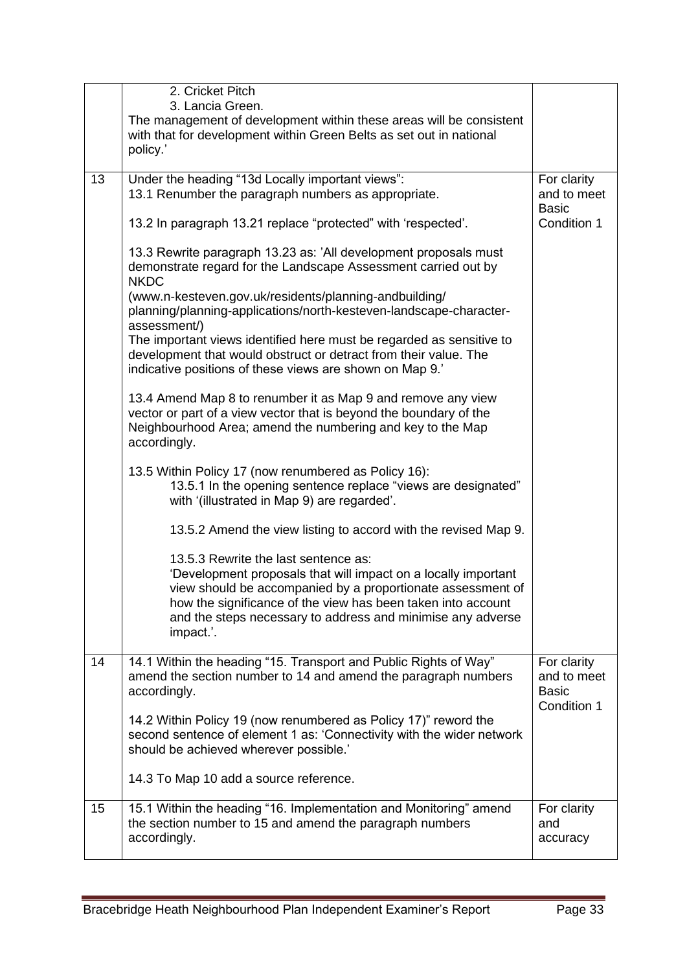|    | 2. Cricket Pitch<br>3. Lancia Green.<br>The management of development within these areas will be consistent<br>with that for development within Green Belts as set out in national<br>policy.'                                                                                                                    |                                                           |
|----|-------------------------------------------------------------------------------------------------------------------------------------------------------------------------------------------------------------------------------------------------------------------------------------------------------------------|-----------------------------------------------------------|
| 13 | Under the heading "13d Locally important views":                                                                                                                                                                                                                                                                  | For clarity                                               |
|    | 13.1 Renumber the paragraph numbers as appropriate.                                                                                                                                                                                                                                                               | and to meet<br><b>Basic</b>                               |
|    | 13.2 In paragraph 13.21 replace "protected" with 'respected'.                                                                                                                                                                                                                                                     | Condition 1                                               |
|    | 13.3 Rewrite paragraph 13.23 as: 'All development proposals must<br>demonstrate regard for the Landscape Assessment carried out by<br><b>NKDC</b>                                                                                                                                                                 |                                                           |
|    | (www.n-kesteven.gov.uk/residents/planning-andbuilding/<br>planning/planning-applications/north-kesteven-landscape-character-<br>assessment/)                                                                                                                                                                      |                                                           |
|    | The important views identified here must be regarded as sensitive to<br>development that would obstruct or detract from their value. The<br>indicative positions of these views are shown on Map 9.'                                                                                                              |                                                           |
|    | 13.4 Amend Map 8 to renumber it as Map 9 and remove any view<br>vector or part of a view vector that is beyond the boundary of the<br>Neighbourhood Area; amend the numbering and key to the Map<br>accordingly.                                                                                                  |                                                           |
|    | 13.5 Within Policy 17 (now renumbered as Policy 16):<br>13.5.1 In the opening sentence replace "views are designated"<br>with '(illustrated in Map 9) are regarded'.                                                                                                                                              |                                                           |
|    | 13.5.2 Amend the view listing to accord with the revised Map 9.                                                                                                                                                                                                                                                   |                                                           |
|    | 13.5.3 Rewrite the last sentence as:<br>'Development proposals that will impact on a locally important<br>view should be accompanied by a proportionate assessment of<br>how the significance of the view has been taken into account<br>and the steps necessary to address and minimise any adverse<br>impact.'. |                                                           |
| 14 | 14.1 Within the heading "15. Transport and Public Rights of Way"<br>amend the section number to 14 and amend the paragraph numbers<br>accordingly.                                                                                                                                                                | For clarity<br>and to meet<br><b>Basic</b><br>Condition 1 |
|    | 14.2 Within Policy 19 (now renumbered as Policy 17)" reword the<br>second sentence of element 1 as: 'Connectivity with the wider network<br>should be achieved wherever possible.'                                                                                                                                |                                                           |
|    | 14.3 To Map 10 add a source reference.                                                                                                                                                                                                                                                                            |                                                           |
| 15 | 15.1 Within the heading "16. Implementation and Monitoring" amend<br>the section number to 15 and amend the paragraph numbers<br>accordingly.                                                                                                                                                                     | For clarity<br>and<br>accuracy                            |